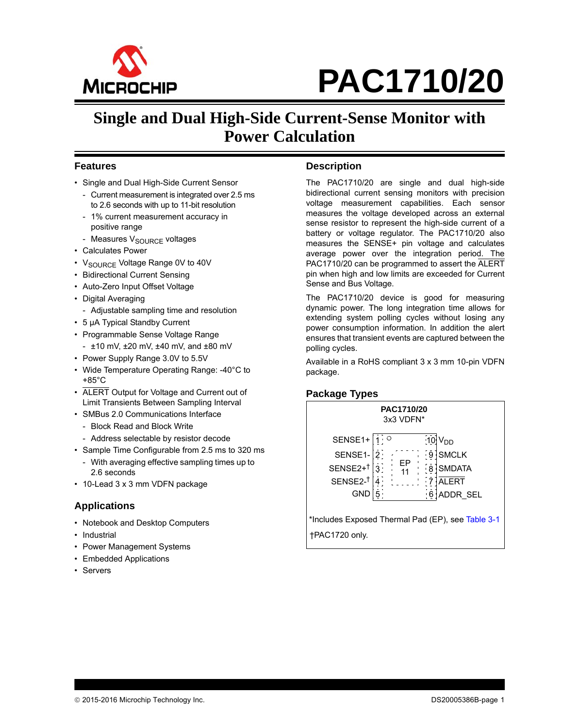

## **Single and Dual High-Side Current-Sense Monitor with Power Calculation**

#### **Features**

- Single and Dual High-Side Current Sensor
	- Current measurement is integrated over 2.5 ms to 2.6 seconds with up to 11-bit resolution
	- 1% current measurement accuracy in positive range
- Measures V<sub>SOURCE</sub> voltages
- Calculates Power
- V<sub>SOURCE</sub> Voltage Range 0V to 40V
- Bidirectional Current Sensing
- Auto-Zero Input Offset Voltage
- Digital Averaging
	- Adjustable sampling time and resolution
- 5 µA Typical Standby Current
- Programmable Sense Voltage Range
- $-$  ±10 mV,  $\pm 20$  mV,  $\pm 40$  mV, and  $\pm 80$  mV
- Power Supply Range 3.0V to 5.5V
- Wide Temperature Operating Range: -40°C to +85°C
- ALERT Output for Voltage and Current out of Limit Transients Between Sampling Interval
- SMBus 2.0 Communications Interface
	- Block Read and Block Write
	- Address selectable by resistor decode
- Sample Time Configurable from 2.5 ms to 320 ms
	- With averaging effective sampling times up to 2.6 seconds
- 10-Lead 3 x 3 mm VDFN package

#### **Applications**

- Notebook and Desktop Computers
- Industrial
- Power Management Systems
- Embedded Applications
- Servers

#### **Description**

The PAC1710/20 are single and dual high-side bidirectional current sensing monitors with precision voltage measurement capabilities. Each sensor measures the voltage developed across an external sense resistor to represent the high-side current of a battery or voltage regulator. The PAC1710/20 also measures the SENSE+ pin voltage and calculates average power over the integration period. The PAC1710/20 can be programmed to assert the ALERT pin when high and low limits are exceeded for Current Sense and Bus Voltage.

The PAC1710/20 device is good for measuring dynamic power. The long integration time allows for extending system polling cycles without losing any power consumption information. In addition the alert ensures that transient events are captured between the polling cycles.

Available in a RoHS compliant 3 x 3 mm 10-pin VDFN package.

#### **Package Types**



\*Includes Exposed Thermal Pad (EP), see [Table 3-1](#page-10-0) †PAC1720 only.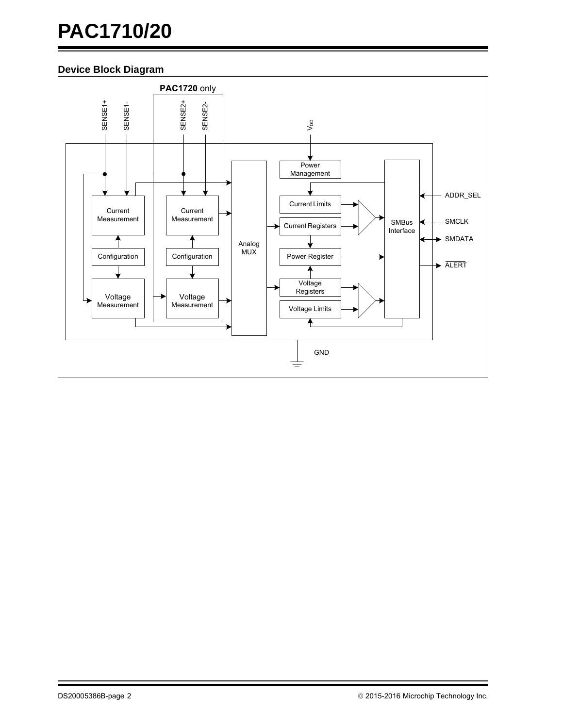## **Device Block Diagram**

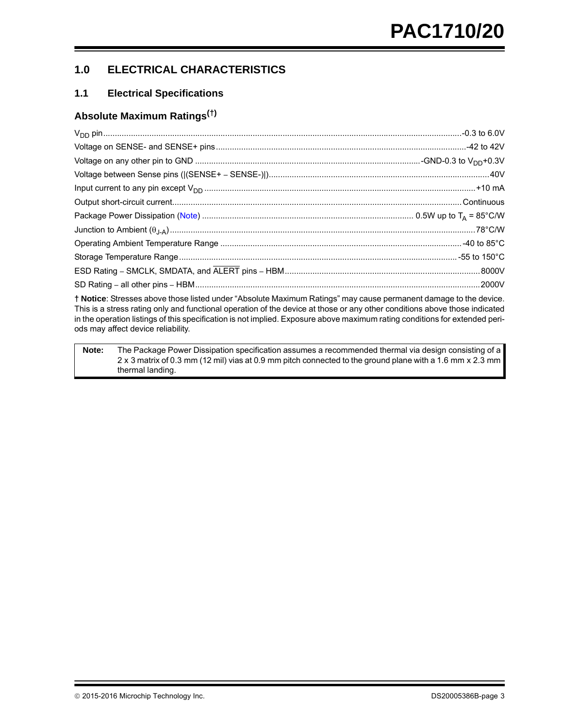## **1.0 ELECTRICAL CHARACTERISTICS**

## <span id="page-2-1"></span>**1.1 Electrical Specifications**

### **Absolute Maximum Ratings(†)**

**† Notice**: Stresses above those listed under "Absolute Maximum Ratings" may cause permanent damage to the device. This is a stress rating only and functional operation of the device at those or any other conditions above those indicated in the operation listings of this specification is not implied. Exposure above maximum rating conditions for extended periods may affect device reliability.

<span id="page-2-0"></span>**Note:** The Package Power Dissipation specification assumes a recommended thermal via design consisting of a 2 x 3 matrix of 0.3 mm (12 mil) vias at 0.9 mm pitch connected to the ground plane with a 1.6 mm x 2.3 mm thermal landing.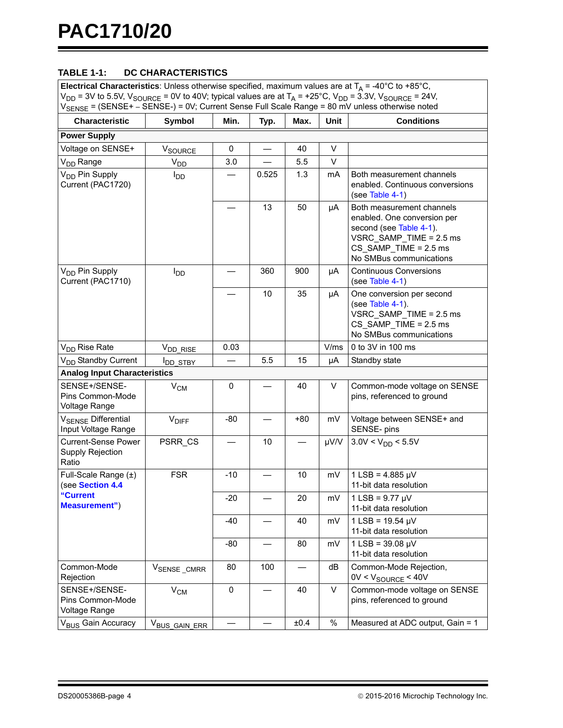## **TABLE 1-1: DC CHARACTERISTICS**

| <b>Electrical Characteristics</b> : Unless otherwise specified, maximum values are at $T_A = -40^{\circ}$ C to +85°C,<br>$V_{DD}$ = 3V to 5.5V, $V_{SOURCE}$ = 0V to 40V; typical values are at $T_A$ = +25°C, $V_{DD}$ = 3.3V, $V_{SOURCE}$ = 24V,<br>V <sub>SENSE</sub> = (SENSE+ - SENSE-) = 0V; Current Sense Full Scale Range = 80 mV unless otherwise noted |                                     |           |       |      |              |                                                                                                                                                                      |
|-------------------------------------------------------------------------------------------------------------------------------------------------------------------------------------------------------------------------------------------------------------------------------------------------------------------------------------------------------------------|-------------------------------------|-----------|-------|------|--------------|----------------------------------------------------------------------------------------------------------------------------------------------------------------------|
| <b>Characteristic</b>                                                                                                                                                                                                                                                                                                                                             | Symbol                              | Min.      | Typ.  | Max. | Unit         | <b>Conditions</b>                                                                                                                                                    |
| <b>Power Supply</b>                                                                                                                                                                                                                                                                                                                                               |                                     |           |       |      |              |                                                                                                                                                                      |
| Voltage on SENSE+                                                                                                                                                                                                                                                                                                                                                 | V <sub>SOURCE</sub>                 | 0         |       | 40   | $\vee$       |                                                                                                                                                                      |
| V <sub>DD</sub> Range                                                                                                                                                                                                                                                                                                                                             | V <sub>DD</sub>                     | 3.0       |       | 5.5  | $\vee$       |                                                                                                                                                                      |
| V <sub>DD</sub> Pin Supply<br>Current (PAC1720)                                                                                                                                                                                                                                                                                                                   | <b>I</b> <sub>DD</sub>              |           | 0.525 | 1.3  | mA           | Both measurement channels<br>enabled. Continuous conversions<br>(see Table 4-1)                                                                                      |
|                                                                                                                                                                                                                                                                                                                                                                   |                                     |           | 13    | 50   | μA           | Both measurement channels<br>enabled. One conversion per<br>second (see Table 4-1).<br>VSRC_SAMP_TIME = 2.5 ms<br>$CS_SAMP$ TIME = 2.5 ms<br>No SMBus communications |
| V <sub>DD</sub> Pin Supply<br>Current (PAC1710)                                                                                                                                                                                                                                                                                                                   | $I_{DD}$                            |           | 360   | 900  | μA           | <b>Continuous Conversions</b><br>(see Table 4-1)                                                                                                                     |
|                                                                                                                                                                                                                                                                                                                                                                   |                                     |           | 10    | 35   | μA           | One conversion per second<br>(see Table 4-1).<br>VSRC_SAMP_TIME = 2.5 ms<br>$CS_SAMP$ TIME = 2.5 ms<br>No SMBus communications                                       |
| V <sub>DD</sub> Rise Rate                                                                                                                                                                                                                                                                                                                                         | V <sub>DD_RISE</sub>                | 0.03      |       |      | V/ms         | 0 to 3V in 100 ms                                                                                                                                                    |
| V <sub>DD</sub> Standby Current                                                                                                                                                                                                                                                                                                                                   | I <sub>DD_STBY</sub>                |           | 5.5   | 15   | μA           | Standby state                                                                                                                                                        |
|                                                                                                                                                                                                                                                                                                                                                                   | <b>Analog Input Characteristics</b> |           |       |      |              |                                                                                                                                                                      |
| SENSE+/SENSE-<br>Pins Common-Mode<br>Voltage Range                                                                                                                                                                                                                                                                                                                | $V_{CM}$                            | 0         |       | 40   | V            | Common-mode voltage on SENSE<br>pins, referenced to ground                                                                                                           |
| V <sub>SENSE</sub> Differential<br>Input Voltage Range                                                                                                                                                                                                                                                                                                            | <b>V<sub>DIFF</sub></b>             | $-80$     |       | +80  | mV           | Voltage between SENSE+ and<br>SENSE- pins                                                                                                                            |
| <b>Current-Sense Power</b><br>Supply Rejection<br>Ratio                                                                                                                                                                                                                                                                                                           | PSRR_CS                             |           | 10    |      | µV/V         | $3.0V < V_{DD} < 5.5V$                                                                                                                                               |
| Full-Scale Range (±)<br>(see Section 4.4                                                                                                                                                                                                                                                                                                                          | <b>FSR</b>                          | $-10$     |       | 10   | mV           | $1$ LSB = 4.885 µV<br>11-bit data resolution                                                                                                                         |
| "Current<br><b>Measurement")</b>                                                                                                                                                                                                                                                                                                                                  |                                     | $-20$     |       | 20   | mV           | $1$ LSB = 9.77 $\mu$ V<br>11-bit data resolution                                                                                                                     |
|                                                                                                                                                                                                                                                                                                                                                                   |                                     | $-40$     |       | 40   | mV           | $1$ LSB = 19.54 $\mu$ V<br>11-bit data resolution                                                                                                                    |
|                                                                                                                                                                                                                                                                                                                                                                   |                                     | $-80$     |       | 80   | mV           | $1$ LSB = 39.08 $\mu$ V<br>11-bit data resolution                                                                                                                    |
| Common-Mode<br>Rejection                                                                                                                                                                                                                                                                                                                                          | VSENSE_CMRR                         | 80        | 100   |      | dB           | Common-Mode Rejection,<br>$0V < V_{\text{SOURCE}} < 40V$                                                                                                             |
| SENSE+/SENSE-<br>Pins Common-Mode<br>Voltage Range                                                                                                                                                                                                                                                                                                                | $V_{CM}$                            | $\pmb{0}$ |       | 40   | $\mathsf{V}$ | Common-mode voltage on SENSE<br>pins, referenced to ground                                                                                                           |
| V <sub>BUS</sub> Gain Accuracy                                                                                                                                                                                                                                                                                                                                    | V <sub>BUS_GAIN_ERR</sub>           |           |       | ±0.4 | $\%$         | Measured at ADC output, Gain = 1                                                                                                                                     |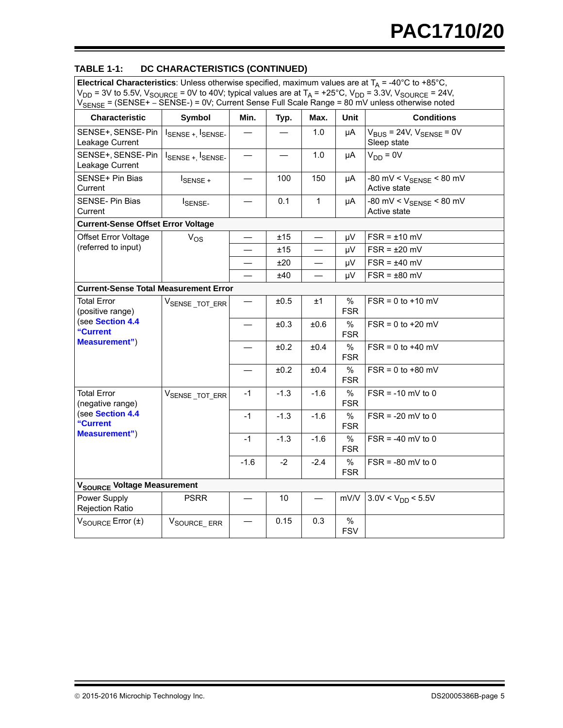## **TABLE 1-1: DC CHARACTERISTICS (CONTINUED)**

**Electrical Characteristics**: Unless otherwise specified, maximum values are at  $T_A$  = -40°C to +85°C,  $V_{DD}$  = 3V to 5.5V,  $V_{SOURCE}$  = 0V to 40V; typical values are at T<sub>A</sub> = +25°C,  $V_{DD}$  = 3.3V, V<sub>SOURCE</sub> = 24V, V<sub>SENSE</sub> = (SENSE+ – SENSE-) = 0V; Current Sense Full Scale Range = 80 mV unless otherwise noted

| OLINOL (THIS                                                                                   |                                                                                                                                                                                                                                                                                                                                                                                                               |        |        |              |                    |                                                     |
|------------------------------------------------------------------------------------------------|---------------------------------------------------------------------------------------------------------------------------------------------------------------------------------------------------------------------------------------------------------------------------------------------------------------------------------------------------------------------------------------------------------------|--------|--------|--------------|--------------------|-----------------------------------------------------|
| <b>Characteristic</b>                                                                          | Symbol                                                                                                                                                                                                                                                                                                                                                                                                        | Min.   | Typ.   | Max.         | Unit               | <b>Conditions</b>                                   |
| SENSE+, SENSE-Pin<br>Leakage Current                                                           | $I_{\text{SENSE} + I_{\text{SENSE} - I_{\text{SENSE} - I_{\text{SENSE} - I_{\text{SENSE} - I_{\text{SENSE} - I_{\text{SENSE} - I_{\text{SENSE} - I_{\text{SENSE} - I_{\text{SENSE} - I_{\text{SENSE} - I_{\text{SENSE} - I_{\text{SENSE} - I_{\text{SENSE} - I_{\text{SENSE} - I_{\text{SENSE} - I_{\text{SENSE} - I_{\text{SENSE} - I_{\text{SENSE} - I_{\text{SENSE} - I_{\text{SENSE} - I_{\text{SENSE} -$ |        |        | 1.0          | μA                 | $V_{BUS}$ = 24V, $V_{SENSE}$ = 0V<br>Sleep state    |
| SENSE+, SENSE-Pin<br>Leakage Current                                                           | $I_{\text{SENSE} + I_{\text{SENSE} - I_{\text{SENSE} - I_{\text{SENSE} - I_{\text{SENSE} - I_{\text{SENSE} - I_{\text{SENSE} - I_{\text{SENSE} - I_{\text{SENSE} - I_{\text{SENSE} - I_{\text{SENSE} - I_{\text{SENSE} - I_{\text{SENSE} - I_{\text{SENSE} - I_{\text{SENSE} - I_{\text{SENSE} - I_{\text{SENSE} - I_{\text{SENSE} - I_{\text{SENSE} - I_{\text{SENSE} - I_{\text{SENSE} - I_{\text{SENSE} -$ |        |        | 1.0          | μA                 | $V_{DD} = 0V$                                       |
| SENSE+ Pin Bias<br>Current                                                                     | ISENSE +                                                                                                                                                                                                                                                                                                                                                                                                      |        | 100    | 150          | μA                 | -80 mV < $V_{\text{SENSE}}$ < 80 mV<br>Active state |
| <b>SENSE-Pin Bias</b><br>Current                                                               | I <sub>SENSE-</sub>                                                                                                                                                                                                                                                                                                                                                                                           |        | 0.1    | $\mathbf{1}$ | μA                 | -80 mV < $V_{\text{SENSE}}$ < 80 mV<br>Active state |
| <b>Current-Sense Offset Error Voltage</b>                                                      |                                                                                                                                                                                                                                                                                                                                                                                                               |        |        |              |                    |                                                     |
| Offset Error Voltage                                                                           | $V_{OS}$                                                                                                                                                                                                                                                                                                                                                                                                      |        | ±15    |              | μV                 | $FSR = \pm 10$ mV                                   |
| (referred to input)                                                                            |                                                                                                                                                                                                                                                                                                                                                                                                               |        | ±15    |              | μV                 | $FSR = \pm 20$ mV                                   |
|                                                                                                |                                                                                                                                                                                                                                                                                                                                                                                                               |        | ±20    |              | μV                 | $FSR = \pm 40$ mV                                   |
|                                                                                                |                                                                                                                                                                                                                                                                                                                                                                                                               |        | ±40    |              | μV                 | $FSR = \pm 80$ mV                                   |
| <b>Current-Sense Total Measurement Error</b>                                                   |                                                                                                                                                                                                                                                                                                                                                                                                               |        |        |              |                    |                                                     |
| <b>Total Error</b><br>(positive range)<br>(see Section 4.4<br>"Current<br><b>Measurement")</b> | V <sub>SENSE</sub> _TOT_ERR                                                                                                                                                                                                                                                                                                                                                                                   |        | ±0.5   | ±1           | %<br><b>FSR</b>    | $FSR = 0$ to $+10$ mV                               |
|                                                                                                |                                                                                                                                                                                                                                                                                                                                                                                                               |        | ±0.3   | ±0.6         | $\%$<br><b>FSR</b> | $FSR = 0$ to $+20$ mV                               |
|                                                                                                |                                                                                                                                                                                                                                                                                                                                                                                                               |        | ±0.2   | ±0.4         | $\%$<br><b>FSR</b> | $FSR = 0$ to $+40$ mV                               |
|                                                                                                |                                                                                                                                                                                                                                                                                                                                                                                                               |        | ±0.2   | ±0.4         | $\%$<br><b>FSR</b> | $FSR = 0$ to +80 mV                                 |
| <b>Total Error</b><br>(negative range)                                                         | V <sub>SENSE</sub> _TOT_ERR                                                                                                                                                                                                                                                                                                                                                                                   | $-1$   | $-1.3$ | $-1.6$       | $\%$<br><b>FSR</b> | $FSR = -10$ mV to 0                                 |
| (see Section 4.4<br>"Current                                                                   |                                                                                                                                                                                                                                                                                                                                                                                                               | $-1$   | $-1.3$ | $-1.6$       | $\%$<br><b>FSR</b> | $FSR = -20$ mV to 0                                 |
| <b>Measurement")</b>                                                                           |                                                                                                                                                                                                                                                                                                                                                                                                               | $-1$   | $-1.3$ | $-1.6$       | $\%$<br><b>FSR</b> | $FSR = -40$ mV to 0                                 |
|                                                                                                |                                                                                                                                                                                                                                                                                                                                                                                                               | $-1.6$ | $-2$   | $-2.4$       | $\%$<br><b>FSR</b> | $FSR = -80$ mV to 0                                 |
| V <sub>SOURCE</sub> Voltage Measurement                                                        |                                                                                                                                                                                                                                                                                                                                                                                                               |        |        |              |                    |                                                     |
| Power Supply<br><b>Rejection Ratio</b>                                                         | <b>PSRR</b>                                                                                                                                                                                                                                                                                                                                                                                                   |        | 10     |              | mV/V               | $3.0V < V_{DD} < 5.5V$                              |
| $V_{\text{SOLRCE}}$ Error $(\pm)$                                                              | V <sub>SOURCE</sub> _ERR                                                                                                                                                                                                                                                                                                                                                                                      |        | 0.15   | 0.3          | %<br><b>FSV</b>    |                                                     |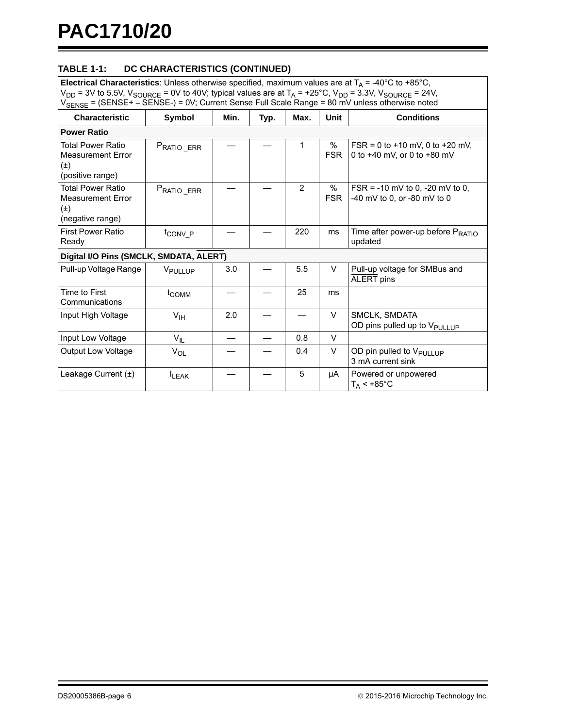## **TABLE 1-1: DC CHARACTERISTICS (CONTINUED)**

**Electrical Characteristics**: Unless otherwise specified, maximum values are at  $T_A$  = -40°C to +85°C,  $V_{DD}$  = 3V to 5.5V,  $V_{SOURCE}$  = 0V to 40V; typical values are at T<sub>A</sub> = +25°C,  $V_{DD}$  = 3.3V, V<sub>SOURCE</sub> = 24V, V<sub>SENSE</sub> = (SENSE+ – SENSE-) = 0V; Current Sense Full Scale Range = 80 mV unless otherwise noted

| Characteristic                                                                      | Symbol              | Min. | Typ. | Max.           | Unit               | <b>Conditions</b>                                                  |
|-------------------------------------------------------------------------------------|---------------------|------|------|----------------|--------------------|--------------------------------------------------------------------|
| <b>Power Ratio</b>                                                                  |                     |      |      |                |                    |                                                                    |
| <b>Total Power Ratio</b><br><b>Measurement Error</b><br>$(\pm)$<br>(positive range) | PRATIO ERR          |      |      | 1              | %<br><b>FSR</b>    | $FSR = 0$ to +10 mV, 0 to +20 mV,<br>0 to +40 mV, or 0 to +80 mV   |
| <b>Total Power Ratio</b><br><b>Measurement Error</b><br>$(\pm)$<br>(negative range) | PRATIO_ERR          |      |      | $\overline{2}$ | $\%$<br><b>FSR</b> | $FSR = -10$ mV to 0, $-20$ mV to 0,<br>-40 mV to 0, or -80 mV to 0 |
| <b>First Power Ratio</b><br>Ready                                                   | t <sub>CONV</sub> P |      |      | 220            | ms                 | Time after power-up before P <sub>RATIO</sub><br>updated           |
| Digital I/O Pins (SMCLK, SMDATA, ALERT)                                             |                     |      |      |                |                    |                                                                    |
| Pull-up Voltage Range                                                               | V <sub>PULLUP</sub> | 3.0  |      | 5.5            | $\vee$             | Pull-up voltage for SMBus and<br><b>ALERT</b> pins                 |
| Time to First<br>Communications                                                     | t <sub>COMM</sub>   |      |      | 25             | ms                 |                                                                    |
| Input High Voltage                                                                  | $V_{\text{IH}}$     | 2.0  |      |                | $\vee$             | SMCLK, SMDATA<br>OD pins pulled up to V <sub>PULLUP</sub>          |
| Input Low Voltage                                                                   | $V_{IL}$            |      |      | 0.8            | $\vee$             |                                                                    |
| <b>Output Low Voltage</b>                                                           | $V_{OL}$            |      |      | 0.4            | V                  | OD pin pulled to V <sub>PULLUP</sub><br>3 mA current sink          |
| Leakage Current $(\pm)$                                                             | <b>ILEAK</b>        |      |      | 5              | μA                 | Powered or unpowered<br>$T_A < +85^{\circ}$ C                      |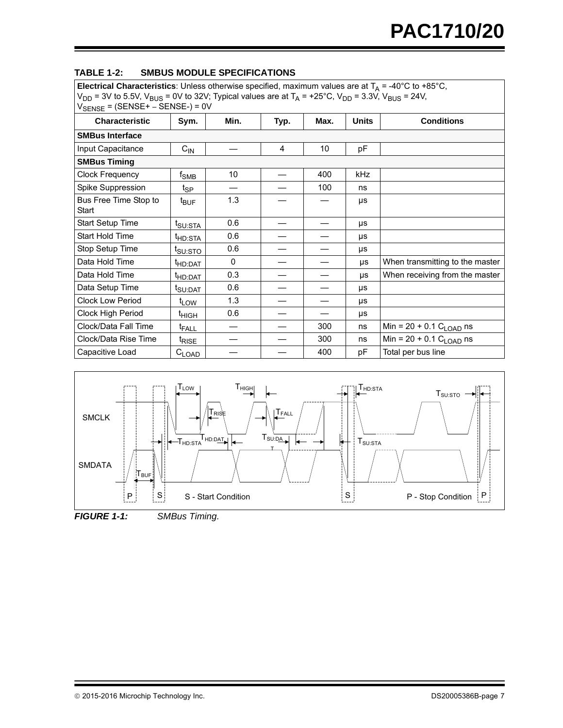| <b>TABLE 1-2:</b> |  | <b>SMBUS MODULE SPECIFICATIONS</b> |
|-------------------|--|------------------------------------|
|                   |  |                                    |

**Electrical Characteristics**: Unless otherwise specified, maximum values are at  $T_A = -40^{\circ}C$  to  $+85^{\circ}C$ ,  $V_{DD}$  = 3V to 5.5V,  $V_{BUS}$  = 0V to 32V; Typical values are at T<sub>A</sub> = +25°C, V<sub>DD</sub> = 3.3V, V<sub>BUS</sub> = 24V, VSENSE = (SENSE+ – SENSE-) = 0V Characteristic Sym. Min. Typ. Max. Units Conditions **SMBus Interface**  $Input Capacitance$   $|C_{IN}|$   $|4|10|$  pF **SMBus Timing** Clock Frequency fSMB 10 — 400 kHz Spike Suppression  $\begin{vmatrix} \frac{1}{2} & - & \end{vmatrix}$  —  $\begin{vmatrix} -1 & - & 100 \\ - & - & 100 \end{vmatrix}$  ns Bus Free Time Stop to **Start** t<sub>BUF</sub> | 1.3 | — | — | µs Start Setup Time  $\left| \begin{array}{c} t_{\text{SU:STA}} \end{array} \right|$  0.6  $\left| \begin{array}{c} - \\ - \end{array} \right|$   $\left| \begin{array}{c} \end{array} \right|$ Start Hold Time  $t_{\text{HD:STA}}$  0.6  $+$   $+$ Stop Setup Time  $|t_{\text{SUSTO}}|$  0.6  $|$  -  $|$  -  $|$  us Data Hold Time  $\left| \begin{array}{cc} t_{\text{HD:DAT}} \end{array} \right|$  0  $\left| \begin{array}{cc} - \end{array} \right|$   $\left| \begin{array}{cc} - \end{array} \right|$  when transmitting to the master Data Hold Time  $\left| \begin{array}{c} t_{HD:DAT} \end{array} \right|$  0.3  $\left| \begin{array}{c} - \end{array} \right|$   $\left| \begin{array}{c} - \end{array} \right|$  us When receiving from the master Data Setup Time  $|t_{\text{SUDAT}}|$  0.6  $|-|$   $|$   $\mu$ s Clock Low Period  $t_{LOW}$  | 1.3 | — | — | µs Clock High Period  $\left| \begin{array}{ccc} t_{\text{HIGH}} & 0.6 \end{array} \right|$   $+$   $-$ Clock/Data Fall Time  $\left\lceil \begin{array}{c} t_{\text{FALL}} \end{array} \right\rceil$   $\left\lceil \begin{array}{c} - \end{array} \right\rceil$  a00  $\left\lceil \begin{array}{c} n_s \end{array} \right\rceil$  Min = 20 + 0.1 C<sub>LOAD</sub> ns Clock/Data Rise Time  $\begin{array}{c|c|c|c|c} \hline \end{array}$  t<sub>RISE</sub>  $\begin{array}{c|c|c} - & - & 300 & \text{ns} & \text{Min} = 20 + 0.1 \text{ C}_{\text{LOAD}} \text{ns} \end{array}$ Capacitive Load  $\begin{vmatrix} C_{\text{LOAD}} & - & \cdot & 400 \\ 0 & - & 400 & pF \end{vmatrix}$  Total per bus line



<span id="page-6-0"></span>*FIGURE 1-1: SMBus Timing.*

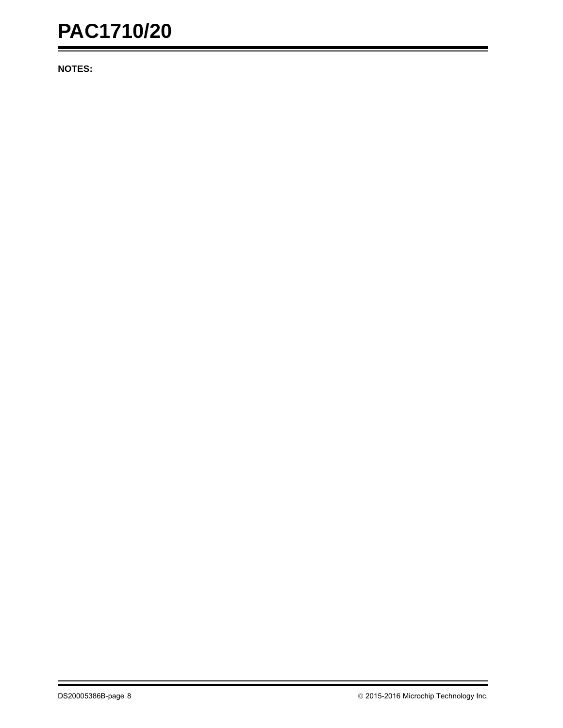**NOTES:**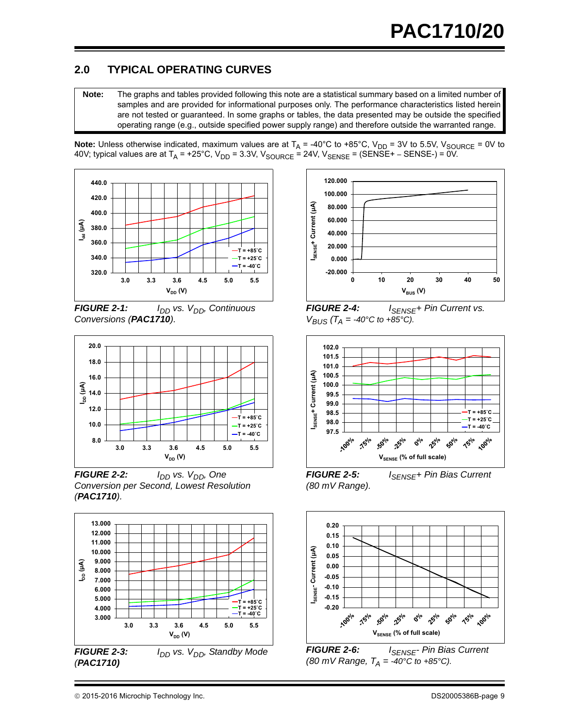## **2.0 TYPICAL OPERATING CURVES**

**Note:** The graphs and tables provided following this note are a statistical summary based on a limited number of samples and are provided for informational purposes only. The performance characteristics listed herein are not tested or guaranteed. In some graphs or tables, the data presented may be outside the specified operating range (e.g., outside specified power supply range) and therefore outside the warranted range.

**Note:** Unless otherwise indicated, maximum values are at T<sub>A</sub> = -40°C to +85°C, V<sub>DD</sub> = 3V to 5.5V, V<sub>SOURCE</sub> = 0V to 40V; typical values are at T<sub>A</sub> = +25°C, V<sub>DD</sub> = 3.3V, V<sub>SOURCE</sub> = 24V, V<sub>SENSE</sub> = (SENSE+ – SENSE-) = 0V.



*FIGURE 2-1: I<sub>DD</sub> vs. V<sub>DD</sub>, Continuous Conversions (PAC1710).*



*FIGURE 2-2: I<sub>DD</sub> vs. V<sub>DD</sub>, One Conversion per Second, Lowest Resolution (PAC1710).*





**FIGURE 2-4:** *I*<sub>SENSE</sub>+ Pin Current vs.  $V_{BUS}$  ( $T_A$  = -40°C to +85°C).



**FIGURE 2-5:** *I*<sub>SENSE</sub>+ Pin Bias Current *(80 mV Range).*



**FIGURE 2-6:** *I<sub>SENSE</sub>*- Pin Bias Current *(80 mV Range,*  $T_A = -40^{\circ}C$  *to*  $+85^{\circ}C$ *).*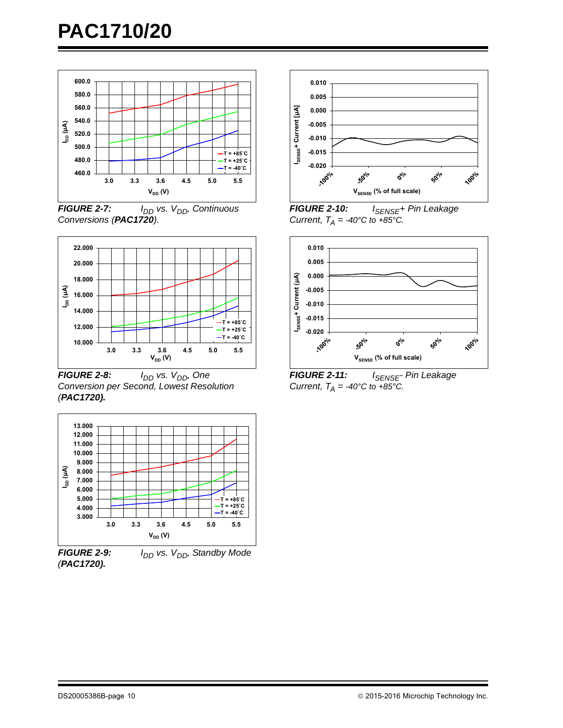

*FIGURE 2-7: I<sub>DD</sub> vs. V<sub>DD</sub>, Continuous Conversions (PAC1720).*



*FIGURE 2-8: I<sub>DD</sub> vs. V<sub>DD</sub>, One Conversion per Second, Lowest Resolution (PAC1720).*



**FIGURE 2-9:** *I<sub>DD</sub> vs. V<sub>DD</sub>, Standby Mode (PAC1720).*



*FIGURE 2-10: ISENSE+ Pin Leakage Current,*  $T_A = -40^{\circ}C$  to  $+85^{\circ}C$ .



*FIGURE 2-11: ISENSE- Pin Leakage Current,*  $T_A = -40^\circ \text{C}$  to  $+85^\circ \text{C}$ .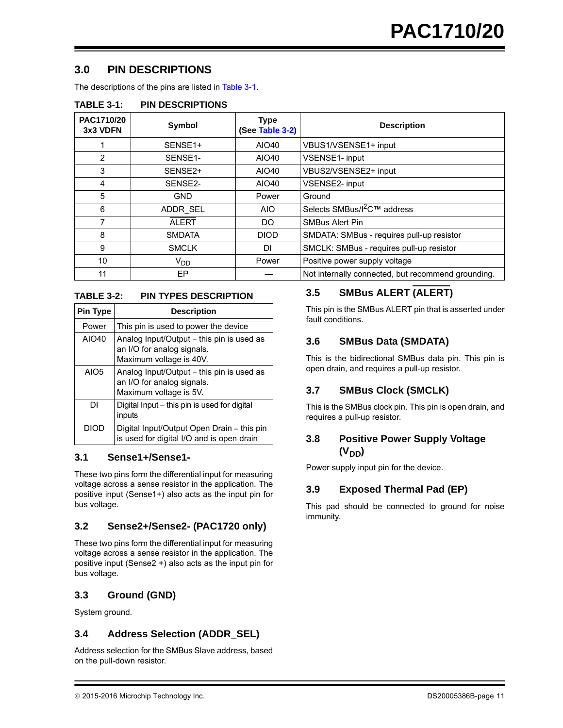## **3.0 PIN DESCRIPTIONS**

The descriptions of the pins are listed in [Table 3-1.](#page-10-0)

<span id="page-10-0"></span>

| <b>TABLE 3-1:</b> | <b>PIN DESCRIPTIONS</b> |
|-------------------|-------------------------|
|-------------------|-------------------------|

| PAC1710/20<br>3x3 VDFN | <b>Symbol</b>        | <b>Type</b><br>(See Table 3-2) | <b>Description</b>                                 |
|------------------------|----------------------|--------------------------------|----------------------------------------------------|
|                        | SENSE <sub>1+</sub>  | AIO40                          | VBUS1/VSENSE1+ input                               |
| $\overline{2}$         | SENSE <sub>1</sub> - | AIO40                          | VSENSE1- input                                     |
| 3                      | SENSE2+              | AIO40                          | VBUS2/VSENSE2+ input                               |
| 4                      | SENSE2-              | AIO40                          | <b>VSENSE2- input</b>                              |
| 5                      | <b>GND</b>           | Power                          | Ground                                             |
| 6                      | ADDR SEL             | AIO.                           | Selects SMBus/l <sup>2</sup> C™ address            |
| 7                      | <b>ALERT</b>         | DO.                            | <b>SMBus Alert Pin</b>                             |
| 8                      | <b>SMDATA</b>        | <b>DIOD</b>                    | SMDATA: SMBus - requires pull-up resistor          |
| 9                      | <b>SMCLK</b>         | DI                             | SMCLK: SMBus - requires pull-up resistor           |
| 10                     | V <sub>DD</sub>      | Power                          | Positive power supply voltage                      |
| 11                     | EP                   |                                | Not internally connected, but recommend grounding. |

#### <span id="page-10-1"></span>**TABLE 3-2: PIN TYPES DESCRIPTION**

| <b>Pin Type</b>  | <b>Description</b>                                                                                 |
|------------------|----------------------------------------------------------------------------------------------------|
| Power            | This pin is used to power the device                                                               |
| AIO40            | Analog Input/Output - this pin is used as<br>an I/O for analog signals.<br>Maximum voltage is 40V. |
| AIO <sub>5</sub> | Analog Input/Output - this pin is used as<br>an I/O for analog signals.<br>Maximum voltage is 5V.  |
| DΙ               | Digital Input - this pin is used for digital<br>inputs                                             |
| <b>DIOD</b>      | Digital Input/Output Open Drain – this pin<br>is used for digital I/O and is open drain            |

#### **3.1 Sense1+/Sense1-**

These two pins form the differential input for measuring voltage across a sense resistor in the application. The positive input (Sense1+) also acts as the input pin for bus voltage.

#### **3.2 Sense2+/Sense2- (PAC1720 only)**

These two pins form the differential input for measuring voltage across a sense resistor in the application. The positive input (Sense2 +) also acts as the input pin for bus voltage.

#### **3.3 Ground (GND)**

System ground.

#### **3.4 Address Selection (ADDR\_SEL)**

Address selection for the SMBus Slave address, based on the pull-down resistor.

## **3.5 SMBus ALERT (ALERT)**

This pin is the SMBus ALERT pin that is asserted under fault conditions.

## **3.6 SMBus Data (SMDATA)**

This is the bidirectional SMBus data pin. This pin is open drain, and requires a pull-up resistor.

## **3.7 SMBus Clock (SMCLK)**

This is the SMBus clock pin. This pin is open drain, and requires a pull-up resistor.

## **3.8 Positive Power Supply Voltage**  (V<sub>DD</sub>)

Power supply input pin for the device.

#### **3.9 Exposed Thermal Pad (EP)**

This pad should be connected to ground for noise immunity.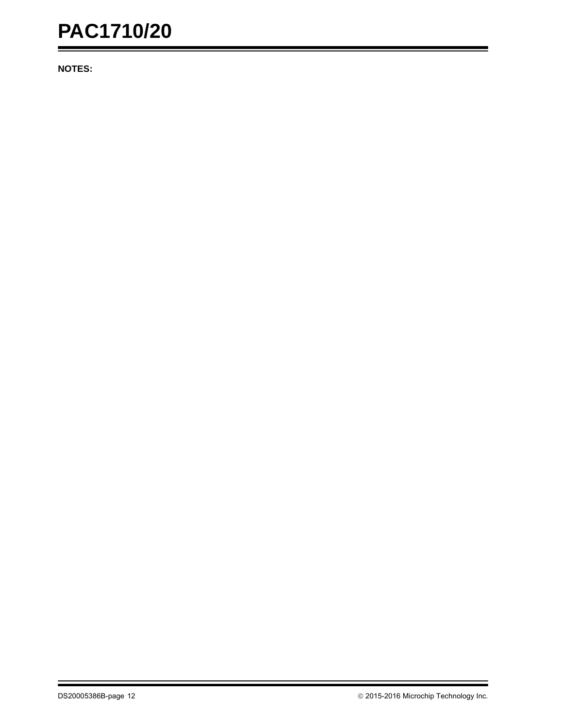**NOTES:**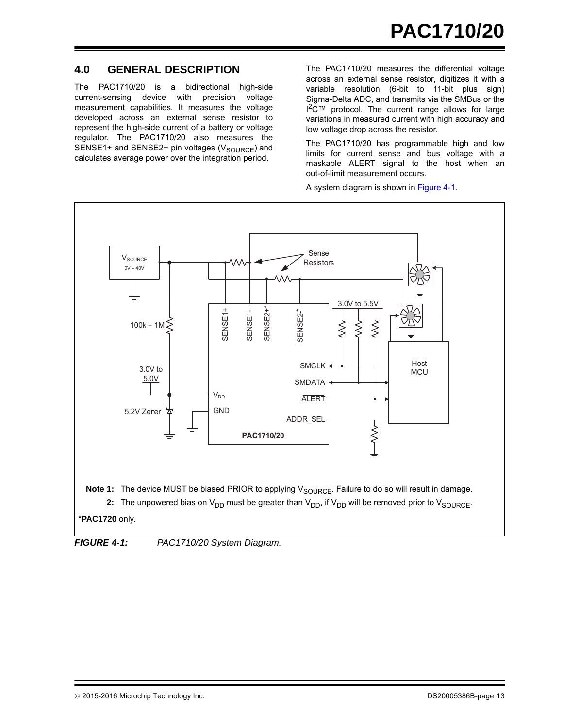## **4.0 GENERAL DESCRIPTION**

The PAC1710/20 is a bidirectional high-side current-sensing device with precision voltage measurement capabilities. It measures the voltage developed across an external sense resistor to represent the high-side current of a battery or voltage regulator. The PAC1710/20 also measures the SENSE1+ and SENSE2+ pin voltages ( $V_{\text{SOURCE}}$ ) and calculates average power over the integration period.

The PAC1710/20 measures the differential voltage across an external sense resistor, digitizes it with a variable resolution (6-bit to 11-bit plus sign) Sigma-Delta ADC, and transmits via the SMBus or the  $1^2C™$  protocol. The current range allows for large variations in measured current with high accuracy and low voltage drop across the resistor.

The PAC1710/20 has programmable high and low limits for current sense and bus voltage with a maskable ALERT signal to the host when an out-of-limit measurement occurs.

A system diagram is shown in [Figure 4-1](#page-12-0).



<span id="page-12-0"></span>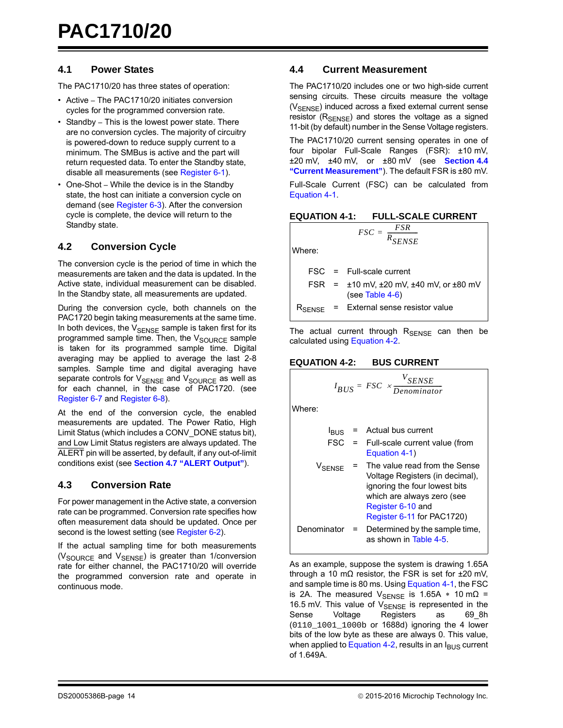#### **4.1 Power States**

The PAC1710/20 has three states of operation:

- Active The PAC1710/20 initiates conversion cycles for the programmed conversion rate.
- Standby This is the lowest power state. There are no conversion cycles. The majority of circuitry is powered-down to reduce supply current to a minimum. The SMBus is active and the part will return requested data. To enter the Standby state, disable all measurements (see [Register 6-1](#page-24-0)).
- One-Shot While the device is in the Standby state, the host can initiate a conversion cycle on demand (see [Register 6-3\)](#page-25-0). After the conversion cycle is complete, the device will return to the Standby state.

#### <span id="page-13-3"></span>**4.2 Conversion Cycle**

The conversion cycle is the period of time in which the measurements are taken and the data is updated. In the Active state, individual measurement can be disabled. In the Standby state, all measurements are updated.

During the conversion cycle, both channels on the PAC1720 begin taking measurements at the same time. In both devices, the  $V_{\text{SENSE}}$  sample is taken first for its programmed sample time. Then, the  $V_{\text{SOLRCE}}$  sample is taken for its programmed sample time. Digital averaging may be applied to average the last 2-8 samples. Sample time and digital averaging have separate controls for  $V_{\text{SENSE}}$  and  $V_{\text{SOURCE}}$  as well as for each channel, in the case of PAC1720. (see [Register 6-7](#page-27-0) and [Register 6-8\)](#page-28-0).

At the end of the conversion cycle, the enabled measurements are updated. The Power Ratio, High Limit Status (which includes a CONV\_DONE status bit), and Low Limit Status registers are always updated. The ALERT pin will be asserted, by default, if any out-of-limit conditions exist (see **[Section 4.7 "ALERT Output"](#page-15-1)**).

#### **4.3 Conversion Rate**

For power management in the Active state, a conversion rate can be programmed. Conversion rate specifies how often measurement data should be updated. Once per second is the lowest setting (see [Register 6-2](#page-25-1)).

If the actual sampling time for both measurements (V<sub>SOURCE</sub> and V<sub>SENSE</sub>) is greater than 1/conversion rate for either channel, the PAC1710/20 will override the programmed conversion rate and operate in continuous mode.

#### <span id="page-13-0"></span>**4.4 Current Measurement**

The PAC1710/20 includes one or two high-side current sensing circuits. These circuits measure the voltage (V<sub>SENSE</sub>) induced across a fixed external current sense resistor  $(R_{\text{SENSE}})$  and stores the voltage as a signed 11-bit (by default) number in the Sense Voltage registers.

The PAC1710/20 current sensing operates in one of four bipolar Full-Scale Ranges (FSR): ±10 mV, ±20 mV, ±40 mV, or ±80 mV (see **[Section 4.4](#page-13-0) ["Current Measurement"](#page-13-0)**). The default FSR is ±80 mV.

Full-Scale Current (FSC) can be calculated from [Equation 4-1.](#page-13-1)

<span id="page-13-1"></span>

| <b>EQUATION 4-1: FULL-SCALE CURRENT</b> |
|-----------------------------------------|
| F.SR<br><i>FSC</i>                      |

Where:

| <b>FSC</b> | $=$ | Full-scale current |
|------------|-----|--------------------|

|  | FSR = $\pm$ 10 mV, $\pm$ 20 mV, $\pm$ 40 mV, or $\pm$ 80 mV |
|--|-------------------------------------------------------------|
|  | $(see Table 4-6)$                                           |
|  |                                                             |

 $=\frac{F S R}{R_{SE NSE}}$ 

 $R_{\text{SENSE}}$  = External sense resistor value

The actual current through  $R_{\text{SENSE}}$  can then be calculated using [Equation 4-2.](#page-13-2)

#### <span id="page-13-2"></span>**EQUATION 4-2: BUS CURRENT**

$$
I_{BUS} = FSC \times \frac{V_{SENSE}}{Denominator}
$$

Where:

 $I_{\text{BUS}}$  = Actual bus current

FSC = Full-scale current value (from [Equation 4-1\)](#page-13-1)

 $V_{\text{SENSE}}$  = The value read from the Sense Voltage Registers (in decimal), ignoring the four lowest bits which are always zero (see [Register 6-10](#page-29-0) and [Register 6-11](#page-29-1) for PAC1720) Denominator = Determined by the sample time, as shown in [Table 4-5.](#page-16-0)

As an example, suppose the system is drawing 1.65A through a 10 mΩ resistor, the FSR is set for  $±20$  mV, and sample time is 80 ms. Using [Equation 4-1](#page-13-1), the FSC is 2A. The measured V<sub>SENSE</sub> is 1.65A  $*$  10 m $\Omega$  = 16.5 mV. This value of  $V_{\text{SENSE}}$  is represented in the Sense Voltage Registers as 69 8h Sense Voltage Registers as (0110\_1001\_1000b or 1688d) ignoring the 4 lower bits of the low byte as these are always 0. This value, when applied to [Equation 4-2,](#page-13-2) results in an  $I_{\text{BUS}}$  current of 1.649A.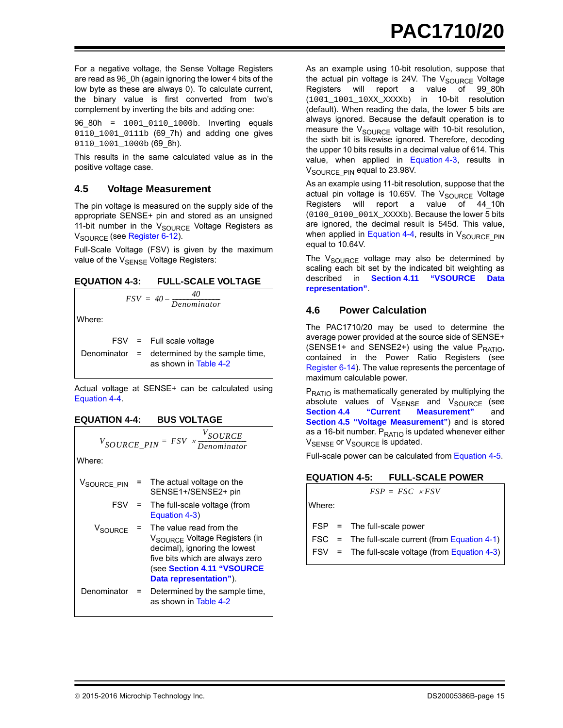For a negative voltage, the Sense Voltage Registers are read as 96\_0h (again ignoring the lower 4 bits of the low byte as these are always 0). To calculate current, the binary value is first converted from two's complement by inverting the bits and adding one:

96\_80h = 1001\_0110\_1000b. Inverting equals 0110 1001 0111b (69 7h) and adding one gives 0110\_1001\_1000b (69\_8h).

This results in the same calculated value as in the positive voltage case.

#### <span id="page-14-2"></span>**4.5 Voltage Measurement**

The pin voltage is measured on the supply side of the appropriate SENSE+ pin and stored as an unsigned 11-bit number in the  $V_{\text{SOURCE}}$  Voltage Registers as V<sub>SOURCE</sub> (see [Register 6-12\)](#page-30-0).

Full-Scale Voltage (FSV) is given by the maximum value of the  $V_{\text{SENSF}}$  Voltage Registers:

<span id="page-14-0"></span>

 $FSV = 40 - \frac{40}{Denominator}$ 

Where:

FSV = Full scale voltage

Denominator = determined by the sample time, as shown in [Table 4-2](#page-15-2)

Actual voltage at SENSE+ can be calculated using [Equation 4-4.](#page-14-1)

#### <span id="page-14-1"></span>**EQUATION 4-4: BUS VOLTAGE**

| $V_{\text{SOURCE\_PIN}} = FSV \times \frac{V_{\text{SOURCE}}}{Denominator}$ |  |                                                                                         |  |  |
|-----------------------------------------------------------------------------|--|-----------------------------------------------------------------------------------------|--|--|
| Where:                                                                      |  |                                                                                         |  |  |
| V <sub>SOURCE</sub> PIN                                                     |  | $=$ The actual voltage on the<br>SENSE1+/SENSE2+ pin                                    |  |  |
| FSV                                                                         |  | = The full-scale voltage (from<br>Equation 4-3)                                         |  |  |
|                                                                             |  | $V_{\text{SOURCE}}$ = The value read from the<br>$V_{\text{max}} = V_0$ ltaga Pagjetare |  |  |

|               | V <sub>SOURCE</sub> Voltage Registers (in<br>decimal), ignoring the lowest<br>five bits which are always zero<br>(see Section 4.11 "VSOURCE<br>Data representation"). |
|---------------|-----------------------------------------------------------------------------------------------------------------------------------------------------------------------|
| Denominator = | Determined by the sample time,<br>as shown in Table 4-2                                                                                                               |

As an example using 10-bit resolution, suppose that the actual pin voltage is 24V. The  $V_{\text{SOLRCE}}$  Voltage Registers will report a value of 99\_80h (1001\_1001\_10XX\_XXXXb) in 10-bit resolution (default). When reading the data, the lower 5 bits are always ignored. Because the default operation is to measure the  $V_{\text{SOLRCE}}$  voltage with 10-bit resolution, the sixth bit is likewise ignored. Therefore, decoding the upper 10 bits results in a decimal value of 614. This value, when applied in [Equation 4-3](#page-14-0), results in V<sub>SOURCE</sub> PIN equal to 23.98V.

As an example using 11-bit resolution, suppose that the actual pin voltage is 10.65V. The  $V_{\text{SOLRCE}}$  Voltage Registers will report a value of 44\_10h (0100\_0100\_001X\_XXXXb). Because the lower 5 bits are ignored, the decimal result is 545d. This value, when applied in [Equation 4-4,](#page-14-1) results in  $V_{\text{SOLRCE-PIN}}$ equal to 10.64V.

The  $V_{\text{SOLRCE}}$  voltage may also be determined by scaling each bit set by the indicated bit weighting as described in **[Section 4.11 "VSOURCE Data](#page-17-0) [representation"](#page-17-0)**.

## <span id="page-14-4"></span>**4.6 Power Calculation**

The PAC1710/20 may be used to determine the average power provided at the source side of SENSE+ (SENSE1+ and SENSE2+) using the value  $P_{RATIO}$ , contained in the Power Ratio Registers (see [Register 6-14\)](#page-31-0). The value represents the percentage of maximum calculable power.

 $P_{\text{RATIO}}$  is mathematically generated by multiplying the absolute values of V<sub>SENSE</sub> and V<sub>SOURCE</sub> (see<br>**Section 4.4** "Current Measurement" and **[Section 4.4 "Current Measurement"](#page-13-0)** and **[Section 4.5 "Voltage Measurement"](#page-14-2)**) and is stored as a 16-bit number.  $P_{RATIO}$  is updated whenever either V<sub>SENSE</sub> or V<sub>SOURCE</sub> is updated.

Full-scale power can be calculated from [Equation 4-5.](#page-14-3)

#### <span id="page-14-3"></span>**EQUATION 4-5: FULL-SCALE POWER**

|        | $FSP = FSC \times FSV$                               |
|--------|------------------------------------------------------|
| Where: |                                                      |
|        |                                                      |
|        | $FSP = The full-scale power$                         |
|        | FSC = The full-scale current (from Equation 4-1) $ $ |
|        | FSV = The full-scale voltage (from Equation 4-3) $ $ |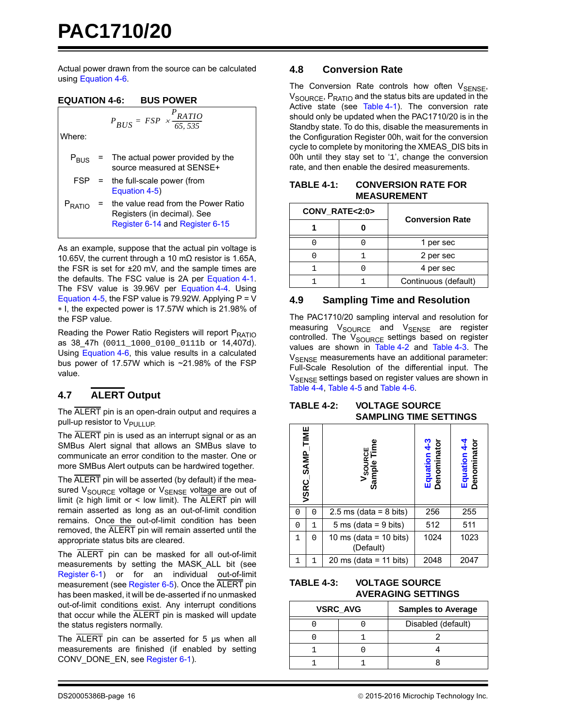Actual power drawn from the source can be calculated using [Equation 4-6.](#page-15-3)

*PRATIO*

 $= FSP \times \frac{KATIO}{65,535}$ 

#### <span id="page-15-3"></span>**EQUATION 4-6: BUS POWER**

$$
P_{BUS} = FSP
$$

Where:

| $P_{RUS}$          | = The actual power provided by the<br>source measured at SENSE+                                       |
|--------------------|-------------------------------------------------------------------------------------------------------|
| FSP                | = the full-scale power (from<br>Equation 4-5)                                                         |
| P <sub>RATIO</sub> | the value read from the Power Ratio<br>Registers (in decimal). See<br>Register 6-14 and Register 6-15 |

As an example, suppose that the actual pin voltage is 10.65V, the current through a 10 mΩ resistor is 1.65A, the FSR is set for ±20 mV, and the sample times are the defaults. The FSC value is 2A per [Equation 4-1](#page-13-1). The FSV value is 39.96V per [Equation 4-4](#page-14-1). Using [Equation 4-5,](#page-14-3) the FSP value is 79.92W. Applying  $P = V$ I, the expected power is 17.57W which is 21.98% of the FSP value.

Reading the Power Ratio Registers will report P<sub>RATIO</sub> as 38\_47h (0011\_1000\_0100\_0111b or 14,407d). Using [Equation 4-6,](#page-15-3) this value results in a calculated bus power of 17.57W which is ~21.98% of the FSP value.

## <span id="page-15-1"></span>**4.7 ALERT Output**

The ALERT pin is an open-drain output and requires a pull-up resistor to V<sub>PULLUP</sub>

The ALERT pin is used as an interrupt signal or as an SMBus Alert signal that allows an SMBus slave to communicate an error condition to the master. One or more SMBus Alert outputs can be hardwired together.

The ALERT pin will be asserted (by default) if the measured V<sub>SOURCE</sub> voltage or V<sub>SENSE</sub> voltage are out of limit (≥ high limit or < low limit). The  $\overline{\text{ALERT}}$  pin will remain asserted as long as an out-of-limit condition remains. Once the out-of-limit condition has been removed, the ALERT pin will remain asserted until the appropriate status bits are cleared.

The ALERT pin can be masked for all out-of-limit measurements by setting the MASK\_ALL bit (see [Register 6-1\)](#page-24-0) or for an individual out-of-limit measurement (see [Register 6-5](#page-26-0)). Once the ALERT pin has been masked, it will be de-asserted if no unmasked out-of-limit conditions exist. Any interrupt conditions that occur while the ALERT pin is masked will update the status registers normally.

The ALERT pin can be asserted for 5 μs when all measurements are finished (if enabled by setting CONV\_DONE\_EN, see [Register 6-1](#page-24-0)).

#### **4.8 Conversion Rate**

The Conversion Rate controls how often  $V_{\text{SENSE}}$ ,  $V_{\text{SOLIRCF}}$ ,  $P_{\text{RATIO}}$  and the status bits are updated in the Active state (see [Table 4-1](#page-15-0)). The conversion rate should only be updated when the PAC1710/20 is in the Standby state. To do this, disable the measurements in the Configuration Register 00h, wait for the conversion cycle to complete by monitoring the XMEAS\_DIS bits in 00h until they stay set to '1', change the conversion rate, and then enable the desired measurements.

<span id="page-15-0"></span>

| TABLE 4-1: | <b>CONVERSION RATE FOR</b> |  |
|------------|----------------------------|--|
|            | <b>MEASUREMENT</b>         |  |

| CONV RATE<2:0> |  | <b>Conversion Rate</b> |  |
|----------------|--|------------------------|--|
|                |  |                        |  |
|                |  | 1 per sec              |  |
|                |  | 2 per sec              |  |
|                |  | 4 per sec              |  |
|                |  | Continuous (default)   |  |

## **4.9 Sampling Time and Resolution**

The PAC1710/20 sampling interval and resolution for measuring V<sub>SOURCE</sub> and V<sub>SENSE</sub> are register controlled. The V<sub>SOURCE</sub> settings based on register values are shown in [Table 4-2](#page-15-2) and [Table 4-3.](#page-15-4) The V<sub>SENSE</sub> measurements have an additional parameter: Full-Scale Resolution of the differential input. The V<sub>SENSE</sub> settings based on register values are shown in [Table 4-4,](#page-16-2) [Table 4-5](#page-16-0) and [Table 4-6.](#page-16-1)

#### <span id="page-15-2"></span>**TABLE 4-2: VOLTAGE SOURCE SAMPLING TIME SETTINGS**

| VSRC_SAMP_TIME<br>V <sub>SOURCE</sub><br>Sample Time |              | Equation 4-3<br>Denominator         | Equation 4-4<br>Denominator |      |
|------------------------------------------------------|--------------|-------------------------------------|-----------------------------|------|
| O                                                    | 0            | $2.5 \text{ ms}$ (data = 8 bits)    | 256                         | 255  |
| 0                                                    | 1            | $5 \text{ ms}$ (data = 9 bits)      | 512                         | 511  |
| $\mathbf{1}$                                         | $\Omega$     | 10 ms (data = 10 bits)<br>(Default) | 1024                        | 1023 |
|                                                      | $\mathbf{1}$ | 20 ms (data = 11 bits)              | 2048                        | 2047 |

#### <span id="page-15-4"></span>**TABLE 4-3: VOLTAGE SOURCE AVERAGING SETTINGS**

| <b>VSRC AVG</b> |  | <b>Samples to Average</b> |  |
|-----------------|--|---------------------------|--|
|                 |  | Disabled (default)        |  |
|                 |  |                           |  |
|                 |  |                           |  |
|                 |  |                           |  |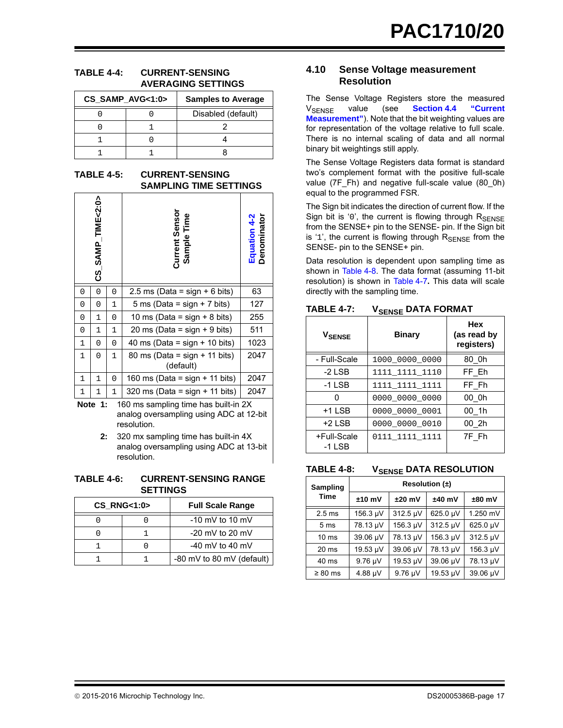#### <span id="page-16-2"></span>**TABLE 4-4: CURRENT-SENSING AVERAGING SETTINGS**

| CS_SAMP_AVG<1:0> |  | <b>Samples to Average</b> |  |
|------------------|--|---------------------------|--|
|                  |  | Disabled (default)        |  |
|                  |  |                           |  |
|                  |  |                           |  |
|                  |  |                           |  |

<span id="page-16-0"></span>**TABLE 4-5: CURRENT-SENSING SAMPLING TIME SETTINGS**

|              | CS_SAMP_TIME<2:0> |              | Current Sensor<br>Sample Time  | Equation 4-2<br>Denominator |
|--------------|-------------------|--------------|--------------------------------|-----------------------------|
| 0            | 0                 | 0            | 2.5 ms (Data = sign + 6 bits)  | 63                          |
| 0            | 0                 | 1            | 5 ms (Data = sign + 7 bits)    | 127                         |
| 0            | 1                 | 0            | 10 ms (Data = sign + 8 bits)   | 255                         |
| 0            | 1                 | $\mathbf{1}$ | 20 ms (Data = sign + 9 bits)   | 511                         |
| $\mathbf{1}$ | 0                 | 0            | 40 ms (Data = sign + 10 bits)  | 1023                        |
| 1            | 0                 | $\mathbf{1}$ | 80 ms (Data = sign + 11 bits)  | 2047                        |
|              |                   |              | (default)                      |                             |
| 1            | 1                 | 0            | 160 ms (Data = sign + 11 bits) | 2047                        |
| 1            | 1                 | 1            | 320 ms (Data = sign + 11 bits) | 2047                        |

- **Note 1:** 160 ms sampling time has built-in 2X analog oversampling using ADC at 12-bit resolution.
	- **2:** 320 mx sampling time has built-in 4X analog oversampling using ADC at 13-bit resolution.

<span id="page-16-1"></span>**TABLE 4-6: CURRENT-SENSING RANGE SETTINGS**

| <b>CS RNG&lt;1:0&gt;</b> |                   | <b>Full Scale Range</b>   |
|--------------------------|-------------------|---------------------------|
|                          |                   | $-10$ mV to 10 mV         |
|                          | $-20$ mV to 20 mV |                           |
|                          | $-40$ mV to 40 mV |                           |
|                          |                   | -80 mV to 80 mV (default) |

#### **4.10 Sense Voltage measurement Resolution**

The Sense Voltage Registers store the measured V<sub>SENSE</sub> value (see **[Section 4.4 "Current](#page-13-0) [Measurement"](#page-13-0)**). Note that the bit weighting values are for representation of the voltage relative to full scale. There is no internal scaling of data and all normal binary bit weightings still apply.

The Sense Voltage Registers data format is standard two's complement format with the positive full-scale value (7F\_Fh) and negative full-scale value (80\_0h) equal to the programmed FSR.

The Sign bit indicates the direction of current flow. If the Sign bit is '0', the current is flowing through  $R_{\text{SENSE}}$ from the SENSE+ pin to the SENSE- pin. If the Sign bit is '1', the current is flowing through  $R_{\text{SENSE}}$  from the SENSE- pin to the SENSE+ pin.

Data resolution is dependent upon sampling time as shown in [Table 4-8](#page-16-3). The data format (assuming 11-bit resolution) is shown in [Table 4-7](#page-16-4)**.** This data will scale directly with the sampling time.

<span id="page-16-4"></span>TABLE 4-7: V<sub>SENSE</sub> DATA FORMAT

| V <sub>SENSE</sub>      | <b>Binary</b>  | <b>Hex</b><br>(as read by<br>registers) |
|-------------------------|----------------|-----------------------------------------|
| - Full-Scale            | 1000 0000 0000 | 80 Oh                                   |
| $-2$ LSB                | 1111 1111 1110 | FF Eh                                   |
| $-1$ LSB                | 1111 1111 1111 | FF Fh                                   |
|                         | 0000 0000 0000 | 00 Oh                                   |
| $+1$ LSB                | 0000 0000 0001 | 00 1h                                   |
| $+2$ LSB                | 0000 0000 0010 | 00 2h                                   |
| +Full-Scale<br>$-1$ LSB | 0111 1111 1111 | 7F Fh                                   |

<span id="page-16-3"></span>TABLE 4-8: V<sub>SENSE</sub> DATA RESOLUTION

| Sampling          | Resolution $(\pm)$ |              |          |               |  |  |  |  |  |  |
|-------------------|--------------------|--------------|----------|---------------|--|--|--|--|--|--|
| <b>Time</b>       | $±10$ mV           | $±20$ mV     | $±40$ mV | $±80$ mV      |  |  |  |  |  |  |
| 2.5 <sub>ms</sub> | 156.3 µV           | 312.5 µV     | 625.0 µV | 1.250 mV      |  |  |  |  |  |  |
| 5 <sub>ms</sub>   | 78.13 µV           | 156.3 µV     | 312.5 µV | 625.0 µV      |  |  |  |  |  |  |
| $10 \text{ ms}$   | 39.06 µV           | 78.13 µV     | 156.3 µV | 312.5 µV      |  |  |  |  |  |  |
| 20 <sub>ms</sub>  | 19.53 µV           | 39.06 µV     | 78.13 µV | 156.3 $\mu$ V |  |  |  |  |  |  |
| 40 ms             | $9.76 \mu V$       | 19.53 µV     | 39.06 µV | 78.13 µV      |  |  |  |  |  |  |
| $\geq 80$ ms      | $4.88 \mu V$       | $9.76 \mu V$ | 19.53 µV | 39.06 µV      |  |  |  |  |  |  |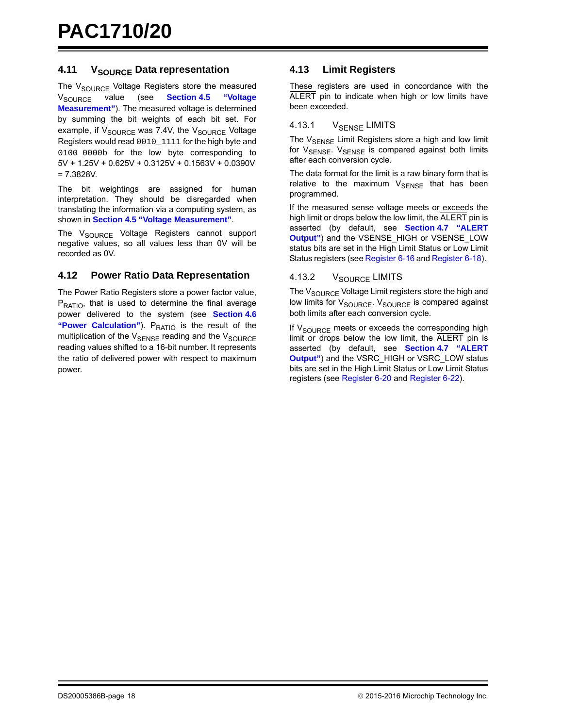#### <span id="page-17-0"></span>**4.11 VSOURCE Data representation**

The  $V_{\text{SOLRCE}}$  Voltage Registers store the measured<br> $V_{\text{SOLIBCE}}$  value (see **Section 4.5** "Voltage V<sub>SOURCE</sub> value (see **[Section 4.5 "Voltage](#page-14-2) [Measurement"](#page-14-2)**). The measured voltage is determined by summing the bit weights of each bit set. For example, if  $V_{\text{SOLRCE}}$  was 7.4V, the  $V_{\text{SOLRCE}}$  Voltage Registers would read 0010\_1111 for the high byte and 0100\_0000b for the low byte corresponding to 5V + 1.25V + 0.625V + 0.3125V + 0.1563V + 0.0390V = 7.3828V.

The bit weightings are assigned for human interpretation. They should be disregarded when translating the information via a computing system, as shown in **[Section 4.5 "Voltage Measurement"](#page-14-2)**.

The V<sub>SOURCE</sub> Voltage Registers cannot support negative values, so all values less than 0V will be recorded as 0V.

#### **4.12 Power Ratio Data Representation**

The Power Ratio Registers store a power factor value, P<sub>RATIO</sub>, that is used to determine the final average power delivered to the system (see **[Section 4.6](#page-14-4)** ["Power Calculation"](#page-14-4)). P<sub>RATIO</sub> is the result of the multiplication of the  $V_{\text{SENSE}}$  reading and the  $V_{\text{SOLIRCF}}$ reading values shifted to a 16-bit number. It represents the ratio of delivered power with respect to maximum power.

#### **4.13 Limit Registers**

These registers are used in concordance with the ALERT pin to indicate when high or low limits have been exceeded.

#### 4.13.1 VSENSE LIMITS

The V<sub>SENSE</sub> Limit Registers store a high and low limit for  $V_{\text{SENSE}}$ .  $V_{\text{SENSE}}$  is compared against both limits after each conversion cycle.

The data format for the limit is a raw binary form that is relative to the maximum  $V_{\text{SENSE}}$  that has been programmed.

If the measured sense voltage meets or exceeds the high limit or drops below the low limit, the ALERT pin is asserted (by default, see **[Section 4.7 "ALERT](#page-15-1) [Output"](#page-15-1)**) and the VSENSE\_HIGH or VSENSE\_LOW status bits are set in the High Limit Status or Low Limit Status registers (see [Register 6-16](#page-32-1) and [Register 6-18\)](#page-33-0).

#### 4.13.2 V<sub>SOURCE</sub> LIMITS

The V<sub>SOURCE</sub> Voltage Limit registers store the high and low limits for V<sub>SOURCE</sub>. V<sub>SOURCE</sub> is compared against both limits after each conversion cycle.

If  $V_{\text{SOURCE}}$  meets or exceeds the corresponding high limit or drops below the low limit, the ALERT pin is asserted (by default, see **[Section 4.7 "ALERT](#page-15-1) [Output"](#page-15-1)**) and the VSRC\_HIGH or VSRC\_LOW status bits are set in the High Limit Status or Low Limit Status registers (see [Register 6-20](#page-34-0) and [Register 6-22\)](#page-35-0).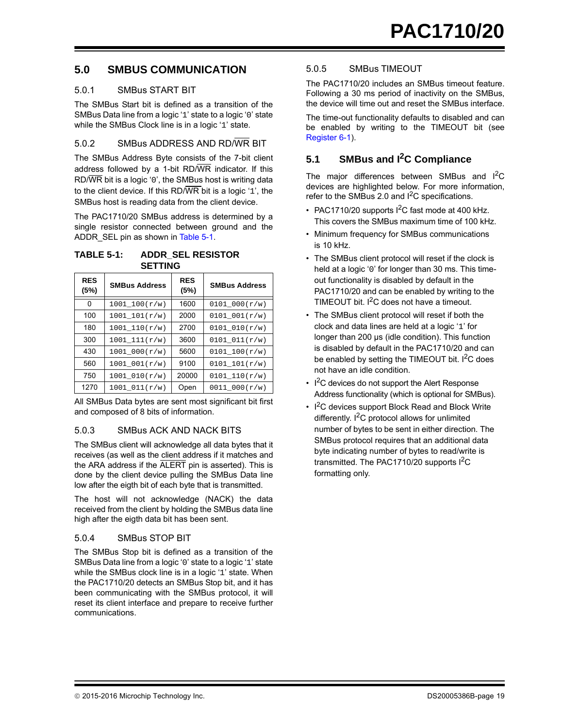## **5.0 SMBUS COMMUNICATION**

#### 5.0.1 SMBus START BIT

The SMBus Start bit is defined as a transition of the SMBus Data line from a logic '1' state to a logic '0' state while the SMBus Clock line is in a logic '1' state.

#### 5.0.2 SMBus ADDRESS AND RD/WR BIT

The SMBus Address Byte consists of the 7-bit client address followed by a 1-bit RD/WR indicator. If this RD/WR bit is a logic '0', the SMBus host is writing data to the client device. If this RD/WR bit is a logic '1', the SMBus host is reading data from the client device.

The PAC1710/20 SMBus address is determined by a single resistor connected between ground and the ADDR\_SEL pin as shown in [Table 5-1](#page-18-0).

#### <span id="page-18-0"></span>**TABLE 5-1: ADDR\_SEL RESISTOR SETTING**

| <b>RES</b><br>(5%) | <b>SMBus Address</b> | <b>RES</b><br>(5%) | <b>SMBus Address</b> |
|--------------------|----------------------|--------------------|----------------------|
| 0                  | 1001 100(r/w)        | 1600               | 0101 000(r/w)        |
| 100                | $1001\_101(r/w)$     | 2000               | 0101 001(r/w)        |
| 180                | $1001\_110(r/w)$     | 2700               | 0101 010(r/w)        |
| 300                | 1001 111(r/w)        | 3600               | 0101 011(r/w)        |
| 430                | $1001\_{000(r/w)}$   | 5600               | 0101 100(r/w)        |
| 560                | 1001 001(r/w)        | 9100               | $0101\_101(r/w)$     |
| 750                | 1001 010(r/w)        | 20000              | $0101_10(r/w)$       |
| 1270               | 1001 011(r/w)        | Open               | 0011 000(r/w)        |

All SMBus Data bytes are sent most significant bit first and composed of 8 bits of information.

#### 5.0.3 SMBus ACK AND NACK BITS

The SMBus client will acknowledge all data bytes that it receives (as well as the client address if it matches and the ARA address if the ALERT pin is asserted). This is done by the client device pulling the SMBus Data line low after the eigth bit of each byte that is transmitted.

The host will not acknowledge (NACK) the data received from the client by holding the SMBus data line high after the eigth data bit has been sent.

#### 5.0.4 SMBus STOP BIT

The SMBus Stop bit is defined as a transition of the SMBus Data line from a logic '0' state to a logic '1' state while the SMBus clock line is in a logic '1' state. When the PAC1710/20 detects an SMBus Stop bit, and it has been communicating with the SMBus protocol, it will reset its client interface and prepare to receive further communications.

#### <span id="page-18-1"></span>5.0.5 SMBus TIMEOUT

The PAC1710/20 includes an SMBus timeout feature. Following a 30 ms period of inactivity on the SMBus, the device will time out and reset the SMBus interface.

The time-out functionality defaults to disabled and can be enabled by writing to the TIMEOUT bit (see [Register 6-1\)](#page-24-0).

## **5.1 SMBus and I2C Compliance**

The major differences between SMBus and I<sup>2</sup>C devices are highlighted below. For more information, refer to the SMBus 2.0 and  $I^2C$  specifications.

- PAC1710/20 supports  $1^2C$  fast mode at 400 kHz. This covers the SMBus maximum time of 100 kHz.
- Minimum frequency for SMBus communications is 10 kHz.
- The SMBus client protocol will reset if the clock is held at a logic '0' for longer than 30 ms. This timeout functionality is disabled by default in the PAC1710/20 and can be enabled by writing to the TIMEOUT bit.  $I^2C$  does not have a timeout.
- The SMBus client protocol will reset if both the clock and data lines are held at a logic '1' for longer than 200 μs (idle condition). This function is disabled by default in the PAC1710/20 and can be enabled by setting the TIMEOUT bit.  $I^2C$  does not have an idle condition.
- $\cdot$  I<sup>2</sup>C devices do not support the Alert Response Address functionality (which is optional for SMBus).
- $\cdot$  I<sup>2</sup>C devices support Block Read and Block Write differently.  $I^2C$  protocol allows for unlimited number of bytes to be sent in either direction. The SMBus protocol requires that an additional data byte indicating number of bytes to read/write is transmitted. The PAC1710/20 supports  $I^2C$ formatting only.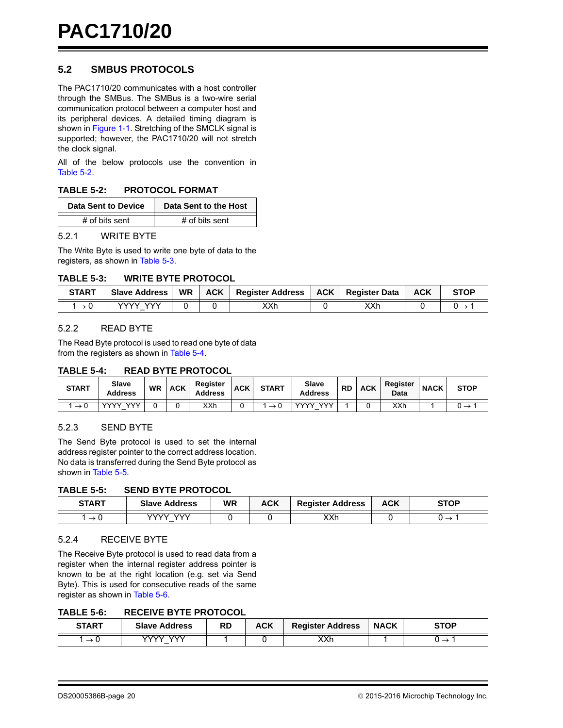## **5.2 SMBUS PROTOCOLS**

The PAC1710/20 communicates with a host controller through the SMBus. The SMBus is a two-wire serial communication protocol between a computer host and its peripheral devices. A detailed timing diagram is shown in [Figure 1-1.](#page-6-0) Stretching of the SMCLK signal is supported; however, the PAC1710/20 will not stretch the clock signal.

All of the below protocols use the convention in [Table 5-2.](#page-19-0)

#### <span id="page-19-0"></span>**TABLE 5-2: PROTOCOL FORMAT**

| Data Sent to Device | Data Sent to the Host |
|---------------------|-----------------------|
| # of bits sent      | # of bits sent        |

#### 5.2.1 WRITE BYTE

The Write Byte is used to write one byte of data to the registers, as shown in [Table 5-3](#page-19-1).

#### <span id="page-19-1"></span>**TABLE 5-3: WRITE BYTE PROTOCOL**

| <b>START</b>    | <b>Slave Address</b> | <b>WR</b> | <b>ACK</b> | <b>Register Address</b> | <b>ACK</b> | <b>Register Data</b> | <b>ACK</b> | <b>STOP</b> |
|-----------------|----------------------|-----------|------------|-------------------------|------------|----------------------|------------|-------------|
| $\rightarrow 0$ | ww<br>vvvv .         |           |            | XXh                     |            | XXh                  |            |             |

#### 5.2.2 READ BYTE

The Read Byte protocol is used to read one byte of data from the registers as shown in [Table 5-4](#page-19-2).

#### <span id="page-19-2"></span>**TABLE 5-4: READ BYTE PROTOCOL**

| <b>START</b>  | Slave<br>Address          | <b>WR</b> | <b>ACK</b> | <b>Register</b><br><b>Address</b> | <b>ACK</b> | <b>START</b> | Slave<br><b>Address</b>     | <b>RD</b> | <b>ACK</b> | Register<br>Data | <b>NACK</b> | <b>STOP</b> |
|---------------|---------------------------|-----------|------------|-----------------------------------|------------|--------------|-----------------------------|-----------|------------|------------------|-------------|-------------|
|               |                           |           |            |                                   |            |              |                             |           |            |                  |             |             |
| $\rightarrow$ | <b>VVV</b><br><b>VVVV</b> |           |            | XXh                               |            |              | $\sqrt{2}$<br><b>VA/A/V</b> |           |            | XXh              |             |             |

#### 5.2.3 SEND BYTE

The Send Byte protocol is used to set the internal address register pointer to the correct address location. No data is transferred during the Send Byte protocol as shown in [Table 5-5.](#page-19-3)

#### <span id="page-19-3"></span>**TABLE 5-5: SEND BYTE PROTOCOL**

| <b>START</b> | <b>Slave Address</b>   | WR | ACK | <b>Register Address</b> | ACK | <b>STOP</b> |
|--------------|------------------------|----|-----|-------------------------|-----|-------------|
| ັບ<br>—      | $\mathcal{N}$<br>vvvvv |    |     | XXh                     |     |             |

#### 5.2.4 RECEIVE BYTE

The Receive Byte protocol is used to read data from a register when the internal register address pointer is known to be at the right location (e.g. set via Send Byte). This is used for consecutive reads of the same register as shown in [Table 5-6](#page-19-4).

#### <span id="page-19-4"></span>**TABLE 5-6: RECEIVE BYTE PROTOCOL**

| <b>START</b> | <b>ACK</b><br>RD<br><b>Slave Address</b> |  | <b>Register Address</b> | <b>NACK</b> | <b>STOP</b> |  |
|--------------|------------------------------------------|--|-------------------------|-------------|-------------|--|
| _<br>ν       | いい<br>いハハハ<br>-                          |  |                         | XXh         |             |  |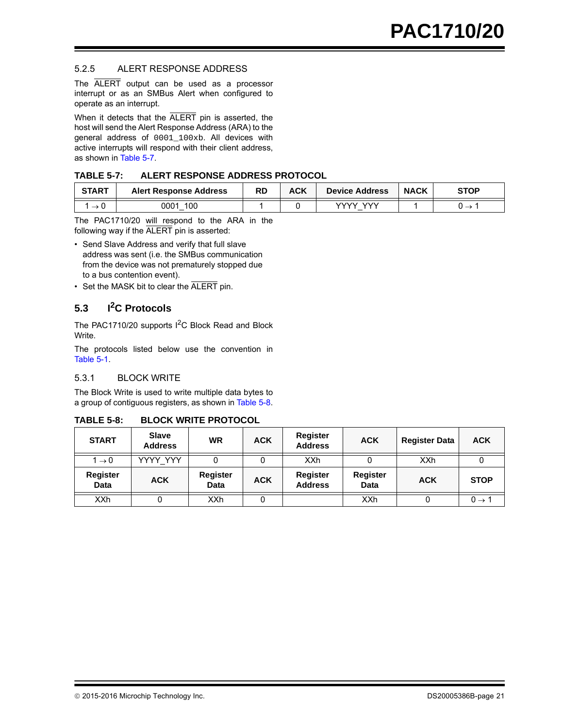#### 5.2.5 ALERT RESPONSE ADDRESS

The ALERT output can be used as a processor interrupt or as an SMBus Alert when configured to operate as an interrupt.

When it detects that the ALERT pin is asserted, the host will send the Alert Response Address (ARA) to the general address of 0001\_100xb. All devices with active interrupts will respond with their client address, as shown in [Table 5-7.](#page-20-0)

#### <span id="page-20-0"></span>**TABLE 5-7: ALERT RESPONSE ADDRESS PROTOCOL**

| START | <b>Alert Response Address</b> | RD | ACK | <b>Device Address</b> | <b>NACK</b> | STOP                     |
|-------|-------------------------------|----|-----|-----------------------|-------------|--------------------------|
| U     | 100<br>0001                   |    |     | ww<br>vvvv<br>-       |             | $\overline{\phantom{0}}$ |

The PAC1710/20 will respond to the ARA in the following way if the ALERT pin is asserted:

- Send Slave Address and verify that full slave address was sent (i.e. the SMBus communication from the device was not prematurely stopped due to a bus contention event).
- Set the MASK bit to clear the ALERT pin.

## **5.3 I2C Protocols**

The PAC1710/20 supports I<sup>2</sup>C Block Read and Block Write.

The protocols listed below use the convention in [Table 5-1.](#page-18-0)

#### 5.3.1 BLOCK WRITE

The Block Write is used to write multiple data bytes to a group of contiguous registers, as shown in [Table 5-8](#page-20-1).

#### <span id="page-20-1"></span>**TABLE 5-8: BLOCK WRITE PROTOCOL**

| <b>START</b>            | <b>Slave</b><br><b>Address</b> | <b>WR</b>               | <b>ACK</b> | Register<br><b>Address</b>        | <b>ACK</b>              | <b>Register Data</b> | <b>ACK</b>        |
|-------------------------|--------------------------------|-------------------------|------------|-----------------------------------|-------------------------|----------------------|-------------------|
| $1 \rightarrow 0$       | YYYY YYY                       |                         |            | XXh                               |                         | XXh                  |                   |
| <b>Register</b><br>Data | <b>ACK</b>                     | Register<br><b>Data</b> | <b>ACK</b> | <b>Register</b><br><b>Address</b> | <b>Register</b><br>Data | <b>ACK</b>           | <b>STOP</b>       |
| <b>XXh</b>              |                                | XXh                     |            |                                   | <b>XXh</b>              |                      | $0 \rightarrow 1$ |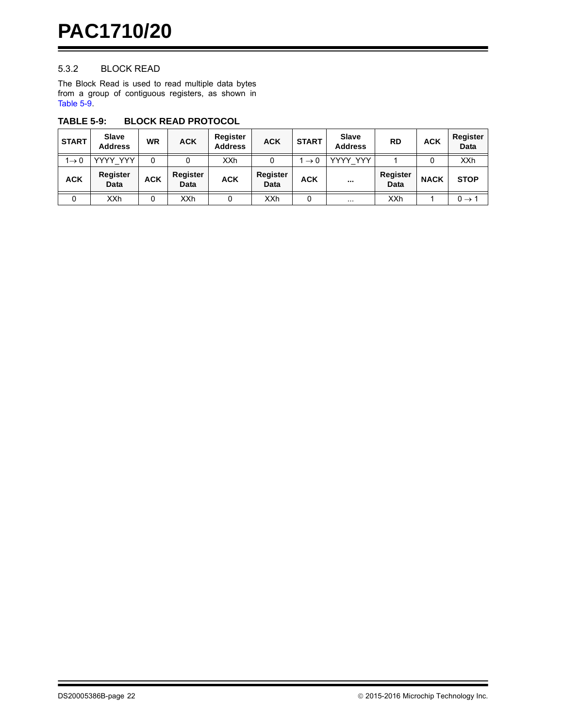#### 5.3.2 BLOCK READ

The Block Read is used to read multiple data bytes from a group of contiguous registers, as shown in [Table 5-9.](#page-21-0)

| <b>START</b>      | <b>Slave</b><br><b>Address</b> | WR         | <b>ACK</b>       | Register<br><b>Address</b> | <b>ACK</b>              | <b>START</b>    | <b>Slave</b><br><b>Address</b> | <b>RD</b>               | <b>ACK</b>  | Register<br>Data  |
|-------------------|--------------------------------|------------|------------------|----------------------------|-------------------------|-----------------|--------------------------------|-------------------------|-------------|-------------------|
| $1 \rightarrow 0$ | YYYY YYY                       | 0          |                  | <b>XXh</b>                 |                         | $\rightarrow 0$ | YYYY YYY                       |                         |             | <b>XXh</b>        |
| <b>ACK</b>        | Register<br>Data               | <b>ACK</b> | Register<br>Data | <b>ACK</b>                 | Register<br><b>Data</b> | <b>ACK</b>      | $\cdots$                       | Register<br><b>Data</b> | <b>NACK</b> | <b>STOP</b>       |
| 0                 | <b>XXh</b>                     | 0          | <b>XXh</b>       | 0                          | XXh                     | 0               | $\cdots$                       | XXh                     |             | $0 \rightarrow 1$ |

#### <span id="page-21-0"></span>**TABLE 5-9: BLOCK READ PROTOCOL**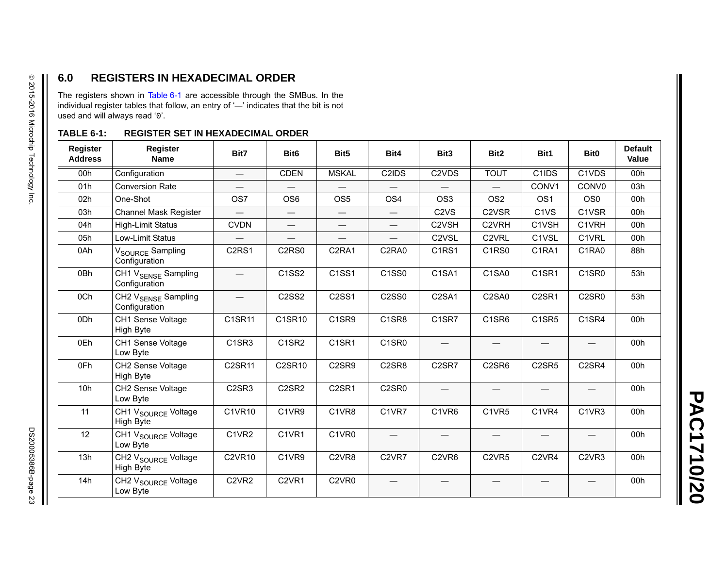## **6.0 REGISTERS IN HEXADECIMAL ORDER**

The registers shown in [Table](#page-22-0) 6-1 are accessible through the SMBus. In the individual register tables that follow, an entry of ' —' indicates that the bit is not used and will always read '0'.

## <span id="page-22-0"></span>**TABLE 6-1: REGISTER SET IN HEXADECIMAL ORDER**

| <b>Register</b><br><b>Address</b> | <b>Register</b><br><b>Name</b>                   | Bit7                           | Bit <sub>6</sub>               | Bit <sub>5</sub>                | Bit4                           | Bit <sub>3</sub>               | Bit <sub>2</sub>               | Bit1                           | Bit <sub>0</sub>               | <b>Default</b><br>Value |
|-----------------------------------|--------------------------------------------------|--------------------------------|--------------------------------|---------------------------------|--------------------------------|--------------------------------|--------------------------------|--------------------------------|--------------------------------|-------------------------|
| 00h                               | Configuration                                    |                                | <b>CDEN</b>                    | <b>MSKAL</b>                    | C2IDS                          | C <sub>2</sub> V <sub>DS</sub> | <b>TOUT</b>                    | C1IDS                          | C1VDS                          | 00h                     |
| 01h                               | <b>Conversion Rate</b>                           |                                |                                |                                 |                                |                                |                                | CONV1                          | CONV <sub>0</sub>              | 03h                     |
| 02 <sub>h</sub>                   | One-Shot                                         | OS <sub>7</sub>                | OS <sub>6</sub>                | OS <sub>5</sub>                 | OS <sub>4</sub>                | OS <sub>3</sub>                | OS <sub>2</sub>                | OS <sub>1</sub>                | OS <sub>0</sub>                | 00 <sub>h</sub>         |
| 03h                               | <b>Channel Mask Register</b>                     |                                |                                |                                 | $\hspace{0.05cm}$              | C <sub>2</sub> V <sub>S</sub>  | C <sub>2</sub> V <sub>SR</sub> | C <sub>1</sub> V <sub>S</sub>  | C1VSR                          | 00 <sub>h</sub>         |
| 04h                               | <b>High-Limit Status</b>                         | <b>CVDN</b>                    | $\overline{\phantom{0}}$       |                                 |                                | C2VSH                          | C2VRH                          | C1VSH                          | C1VRH                          | 00h                     |
| 05h                               | Low-Limit Status                                 |                                | $\overline{\phantom{0}}$       | $\qquad \qquad$                 |                                | C <sub>2</sub> V <sub>SL</sub> | C <sub>2</sub> V <sub>RL</sub> | C1VSL                          | C1VRL                          | 00 <sub>h</sub>         |
| 0Ah                               | V <sub>SOURCE</sub> Sampling<br>Configuration    | C <sub>2</sub> RS <sub>1</sub> | C <sub>2</sub> R <sub>S0</sub> | C <sub>2</sub> RA <sub>1</sub>  | C2RA0                          | C <sub>1</sub> R <sub>S1</sub> | C <sub>1</sub> R <sub>S0</sub> | C1RA1                          | C1RA0                          | 88h                     |
| 0Bh                               | CH1 V <sub>SENSE</sub> Sampling<br>Configuration |                                | C <sub>1</sub> S <sub>S2</sub> | C <sub>1</sub> SS <sub>1</sub>  | C <sub>1</sub> S <sub>S0</sub> | C <sub>1</sub> SA <sub>1</sub> | C1SA0                          | C <sub>1</sub> SR <sub>1</sub> | C1SR0                          | 53h                     |
| 0Ch                               | CH2 V <sub>SENSE</sub> Sampling<br>Configuration |                                | C2SS2                          | C2SS1                           | C2SS0                          | C2SA1                          | C2SA0                          | C <sub>2</sub> SR <sub>1</sub> | C2SR0                          | 53h                     |
| 0Dh                               | CH1 Sense Voltage<br>High Byte                   | C1SR11                         | C1SR10                         | C1SR9                           | C1SR8                          | C1SR7                          | C1SR6                          | C <sub>1</sub> SR <sub>5</sub> | C <sub>1</sub> SR <sub>4</sub> | 00h                     |
| 0Eh                               | CH1 Sense Voltage<br>Low Byte                    | C <sub>1</sub> SR <sub>3</sub> | C1SR2                          | C <sub>1</sub> SR <sub>1</sub>  | C1SR0                          | $\overline{\phantom{0}}$       |                                | $\hspace{0.05cm}$              | $\hspace{0.05cm}$              | 00h                     |
| 0Fh                               | CH2 Sense Voltage<br>High Byte                   | C2SR11                         | C2SR10                         | C2SR9                           | C2SR8                          | C <sub>2</sub> SR <sub>7</sub> | C <sub>2</sub> SR <sub>6</sub> | C <sub>2</sub> SR <sub>5</sub> | C <sub>2</sub> SR <sub>4</sub> | 00h                     |
| 10 <sub>h</sub>                   | CH2 Sense Voltage<br>Low Byte                    | C <sub>2</sub> SR <sub>3</sub> | C <sub>2</sub> SR <sub>2</sub> | C <sub>2</sub> SR <sub>1</sub>  | C2SR0                          |                                |                                |                                |                                | 00h                     |
| 11                                | CH1 V <sub>SOURCE</sub> Voltage<br>High Byte     | C1VR10                         | C1VR9                          | C1VR8                           | C1VR7                          | C1VR6                          | C1VR5                          | C1VR4                          | C1VR3                          | 00h                     |
| 12                                | CH1 V <sub>SOURCE</sub> Voltage<br>Low Byte      | C1VR2                          | C1VR1                          | C1VR0                           | $\qquad \qquad -$              |                                |                                | —                              | $\overline{\phantom{0}}$       | 00h                     |
| 13h                               | CH2 V <sub>SOURCE</sub> Voltage<br>High Byte     | <b>C2VR10</b>                  | C1VR9                          | C <sub>2</sub> V <sub>R</sub> 8 | C <sub>2</sub> VR <sub>7</sub> | C <sub>2</sub> V <sub>R6</sub> | C <sub>2</sub> V <sub>R5</sub> | C <sub>2</sub> VR <sub>4</sub> | C <sub>2</sub> VR <sub>3</sub> | 00h                     |
| 14h                               | CH2 V <sub>SOURCE</sub> Voltage<br>Low Byte      | C <sub>2</sub> V <sub>R2</sub> | C <sub>2</sub> VR <sub>1</sub> | C <sub>2</sub> V <sub>R0</sub>  |                                |                                |                                |                                |                                | 00h                     |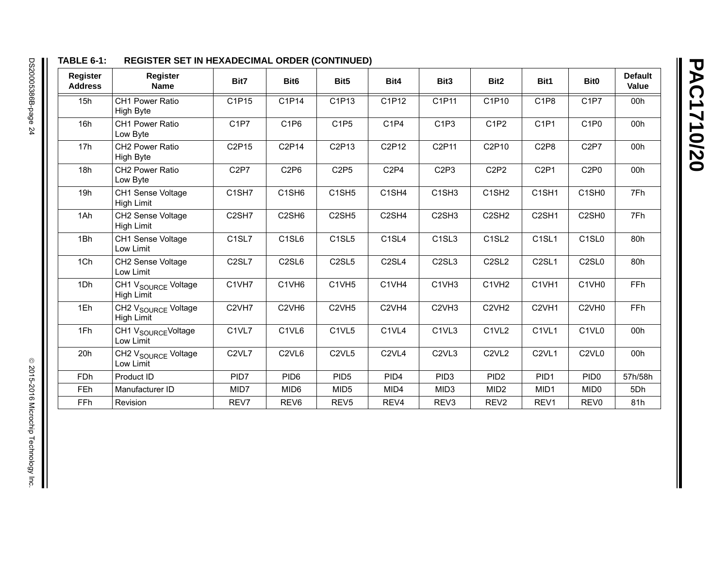**PAC1710/20 PAC1710/20**

## **TABLE 6-1: REGISTER SET IN HEXADECIMAL ORDER (CONTINUED)**

| Register<br><b>Address</b> | Register<br><b>Name</b>                              | Bit7                           | Bit <sub>6</sub>               | Bit <sub>5</sub>               | Bit4                           | Bit <sub>3</sub>               | Bit <sub>2</sub>               | Bit1                           | Bit <sub>0</sub>               | <b>Default</b><br>Value |
|----------------------------|------------------------------------------------------|--------------------------------|--------------------------------|--------------------------------|--------------------------------|--------------------------------|--------------------------------|--------------------------------|--------------------------------|-------------------------|
| 15h                        | CH1 Power Ratio<br>High Byte                         | C1P15                          | C1P14                          | C1P13                          | C1P12                          | C1P11                          | C1P10                          | C <sub>1P8</sub>               | C <sub>1</sub> P <sub>7</sub>  | 00h                     |
| 16h                        | <b>CH1 Power Ratio</b><br>Low Byte                   | C <sub>1</sub> P <sub>7</sub>  | C <sub>1</sub> P <sub>6</sub>  | C <sub>1</sub> P <sub>5</sub>  | C <sub>1</sub> P <sub>4</sub>  | C <sub>1</sub> P <sub>3</sub>  | C <sub>1</sub> P <sub>2</sub>  | C <sub>1</sub> P <sub>1</sub>  | C <sub>1</sub> P <sub>0</sub>  | 00h                     |
| 17h                        | CH2 Power Ratio<br>High Byte                         | C2P15                          | C2P14                          | C2P13                          | C2P12                          | C2P11                          | C2P10                          | C <sub>2</sub> P <sub>8</sub>  | C <sub>2</sub> P <sub>7</sub>  | 00h                     |
| 18h                        | CH2 Power Ratio<br>Low Byte                          | C <sub>2</sub> P <sub>7</sub>  | C <sub>2</sub> P <sub>6</sub>  | C <sub>2</sub> P <sub>5</sub>  | C <sub>2</sub> P <sub>4</sub>  | C <sub>2</sub> P <sub>3</sub>  | C <sub>2</sub> P <sub>2</sub>  | C <sub>2</sub> P <sub>1</sub>  | C <sub>2</sub> P <sub>0</sub>  | 00h                     |
| 19h                        | CH1 Sense Voltage<br>High Limit                      | C <sub>1</sub> SH <sub>7</sub> | C <sub>1</sub> SH <sub>6</sub> | C <sub>1</sub> SH <sub>5</sub> | C <sub>1</sub> SH <sub>4</sub> | C <sub>1</sub> SH <sub>3</sub> | C <sub>1</sub> SH <sub>2</sub> | C <sub>1</sub> SH <sub>1</sub> | C <sub>1</sub> SH <sub>0</sub> | 7Fh                     |
| 1Ah                        | CH2 Sense Voltage<br><b>High Limit</b>               | C <sub>2</sub> SH <sub>7</sub> | C <sub>2</sub> SH <sub>6</sub> | C <sub>2</sub> SH <sub>5</sub> | C <sub>2</sub> SH <sub>4</sub> | C <sub>2</sub> SH <sub>3</sub> | C <sub>2</sub> SH <sub>2</sub> | C <sub>2</sub> SH <sub>1</sub> | C <sub>2</sub> SH <sub>0</sub> | 7Fh                     |
| 1Bh                        | CH1 Sense Voltage<br>Low Limit                       | C <sub>1</sub> SL <sub>7</sub> | C <sub>1</sub> SL <sub>6</sub> | C <sub>1</sub> SL <sub>5</sub> | C <sub>1</sub> SL <sub>4</sub> | C <sub>1</sub> SL <sub>3</sub> | C <sub>1</sub> SL <sub>2</sub> | C <sub>1</sub> SL <sub>1</sub> | C <sub>1</sub> SL <sub>0</sub> | 80h                     |
| 1Ch                        | CH2 Sense Voltage<br>Low Limit                       | C <sub>2</sub> SL <sub>7</sub> | C <sub>2</sub> SL <sub>6</sub> | C <sub>2</sub> SL <sub>5</sub> | C <sub>2</sub> SL <sub>4</sub> | C <sub>2</sub> SL <sub>3</sub> | C <sub>2</sub> SL <sub>2</sub> | C <sub>2</sub> SL <sub>1</sub> | C <sub>2</sub> SL <sub>0</sub> | 80h                     |
| 1Dh                        | CH1 V <sub>SOURCE</sub> Voltage<br><b>High Limit</b> | C1VH7                          | C1VH <sub>6</sub>              | C1VH5                          | C1VH4                          | C1VH3                          | C1VH <sub>2</sub>              | C1VH1                          | C1VH <sub>0</sub>              | FFh                     |
| 1Eh                        | CH2 V <sub>SOURCE</sub> Voltage<br><b>High Limit</b> | C <sub>2</sub> VH <sub>7</sub> | C <sub>2VH6</sub>              | C <sub>2VH5</sub>              | C <sub>2VH4</sub>              | C <sub>2VH3</sub>              | C <sub>2</sub> VH <sub>2</sub> | C <sub>2VH1</sub>              | C <sub>2</sub> VH <sub>0</sub> | FFh                     |
| 1Fh                        | CH1 V <sub>SOURCE</sub> Voltage<br>Low Limit         | C <sub>1</sub> VL <sub>7</sub> | C1VL6                          | C <sub>1</sub> VL <sub>5</sub> | C1VL4                          | C <sub>1</sub> VL <sub>3</sub> | C1VL2                          | C <sub>1</sub> VL <sub>1</sub> | C <sub>1</sub> VL <sub>0</sub> | 00h                     |
| 20h                        | CH2 V <sub>SOURCE</sub> Voltage<br>Low Limit         | C <sub>2</sub> VL <sub>7</sub> | C <sub>2</sub> VL <sub>6</sub> | C <sub>2</sub> VL <sub>5</sub> | C <sub>2</sub> VL <sub>4</sub> | C <sub>2</sub> VL <sub>3</sub> | C <sub>2</sub> VL <sub>2</sub> | C <sub>2</sub> VL <sub>1</sub> | C <sub>2</sub> VL <sub>0</sub> | 00h                     |
| <b>FDh</b>                 | Product ID                                           | PID7                           | PID <sub>6</sub>               | PID <sub>5</sub>               | PID <sub>4</sub>               | PID <sub>3</sub>               | PID <sub>2</sub>               | PID <sub>1</sub>               | PID <sub>0</sub>               | 57h/58h                 |
| <b>FEh</b>                 | Manufacturer ID                                      | MID7                           | MID <sub>6</sub>               | MID <sub>5</sub>               | MID4                           | MID <sub>3</sub>               | MID <sub>2</sub>               | MID <sub>1</sub>               | MID <sub>0</sub>               | 5Dh                     |
| <b>FFh</b>                 | Revision                                             | REV7                           | REV <sub>6</sub>               | REV <sub>5</sub>               | REV4                           | REV3                           | REV <sub>2</sub>               | REV1                           | REV <sub>0</sub>               | 81h                     |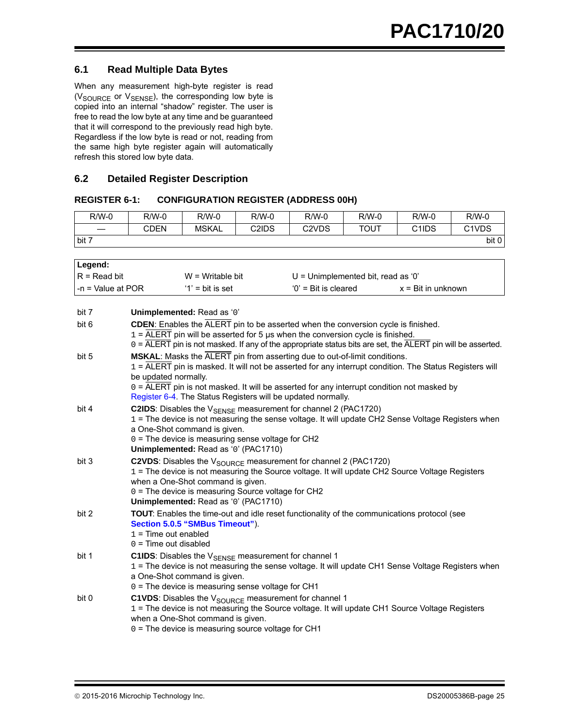#### **6.1 Read Multiple Data Bytes**

When any measurement high-byte register is read ( $V_{\text{SOURCE}}$  or  $V_{\text{SENSE}}$ ), the corresponding low byte is copied into an internal "shadow" register. The user is free to read the low byte at any time and be guaranteed that it will correspond to the previously read high byte. Regardless if the low byte is read or not, reading from the same high byte register again will automatically refresh this stored low byte data.

#### **6.2 Detailed Register Description**

#### <span id="page-24-0"></span>**REGISTER 6-1: CONFIGURATION REGISTER (ADDRESS 00H)**

| $R/W-0$ | R/W-0 | $R/W-0$ | $R/W-0$ | $R/W-0$                         | $R/W-0$ | R/W-0 | $R/W-0$                         |
|---------|-------|---------|---------|---------------------------------|---------|-------|---------------------------------|
|         | CDEN  | MSKAL   | C2IDS   | C <sub>2</sub> V <sub>D</sub> S | TOUT    | C1IDS | C <sub>1</sub> V <sub>D</sub> S |
| bit 7   |       |         |         |                                 |         |       | bit 0                           |

| Legend:             |                                                   |                                                                                                                                                                                                                  |                                                                                                                                                                                                                                                                                                   |                             |
|---------------------|---------------------------------------------------|------------------------------------------------------------------------------------------------------------------------------------------------------------------------------------------------------------------|---------------------------------------------------------------------------------------------------------------------------------------------------------------------------------------------------------------------------------------------------------------------------------------------------|-----------------------------|
| $R = Read bit$      |                                                   | $W =$ Writable bit                                                                                                                                                                                               | $U =$ Unimplemented bit, read as '0'                                                                                                                                                                                                                                                              |                             |
| $-n =$ Value at POR |                                                   | $'1'$ = bit is set                                                                                                                                                                                               | $'0'$ = Bit is cleared                                                                                                                                                                                                                                                                            | $x = \text{Bit in unknown}$ |
|                     |                                                   |                                                                                                                                                                                                                  |                                                                                                                                                                                                                                                                                                   |                             |
| bit 7               |                                                   | Unimplemented: Read as '0'                                                                                                                                                                                       |                                                                                                                                                                                                                                                                                                   |                             |
| bit 6               |                                                   |                                                                                                                                                                                                                  | CDEN: Enables the ALERT pin to be asserted when the conversion cycle is finished.<br>$1 =$ ALERT pin will be asserted for 5 $\mu$ s when the conversion cycle is finished.<br>0 = ALERT pin is not masked. If any of the appropriate status bits are set, the ALERT pin will be asserted.         |                             |
| bit 5               | be updated normally.                              | Register 6-4. The Status Registers will be updated normally.                                                                                                                                                     | MSKAL: Masks the ALERT pin from asserting due to out-of-limit conditions.<br>$1 = \overline{ALERT}$ pin is masked. It will not be asserted for any interrupt condition. The Status Registers will<br>$0 =$ ALERT pin is not masked. It will be asserted for any interrupt condition not masked by |                             |
| bit 4               |                                                   | <b>C2IDS:</b> Disables the $V_{\text{SFNSF}}$ measurement for channel 2 (PAC1720)<br>a One-Shot command is given.<br>$0 =$ The device is measuring sense voltage for CH2<br>Unimplemented: Read as '0' (PAC1710) | 1 = The device is not measuring the sense voltage. It will update CH2 Sense Voltage Registers when                                                                                                                                                                                                |                             |
| bit 3               |                                                   | when a One-Shot command is given.<br>0 = The device is measuring Source voltage for CH2<br>Unimplemented: Read as '0' (PAC1710)                                                                                  | C2VDS: Disables the $V_{\text{SOLRCE}}$ measurement for channel 2 (PAC1720)<br>1 = The device is not measuring the Source voltage. It will update CH2 Source Voltage Registers                                                                                                                    |                             |
| bit 2               | $1 =$ Time out enabled<br>$0 =$ Time out disabled | Section 5.0.5 "SMBus Timeout").                                                                                                                                                                                  | TOUT: Enables the time-out and idle reset functionality of the communications protocol (see                                                                                                                                                                                                       |                             |
| bit 1               |                                                   | C1IDS: Disables the V <sub>SENSE</sub> measurement for channel 1<br>a One-Shot command is given.<br>0 = The device is measuring sense voltage for CH1                                                            | 1 = The device is not measuring the sense voltage. It will update CH1 Sense Voltage Registers when                                                                                                                                                                                                |                             |
| bit 0               |                                                   | C1VDS: Disables the V <sub>SOURCE</sub> measurement for channel 1<br>when a One-Shot command is given.<br>0 = The device is measuring source voltage for CH1                                                     | 1 = The device is not measuring the Source voltage. It will update CH1 Source Voltage Registers                                                                                                                                                                                                   |                             |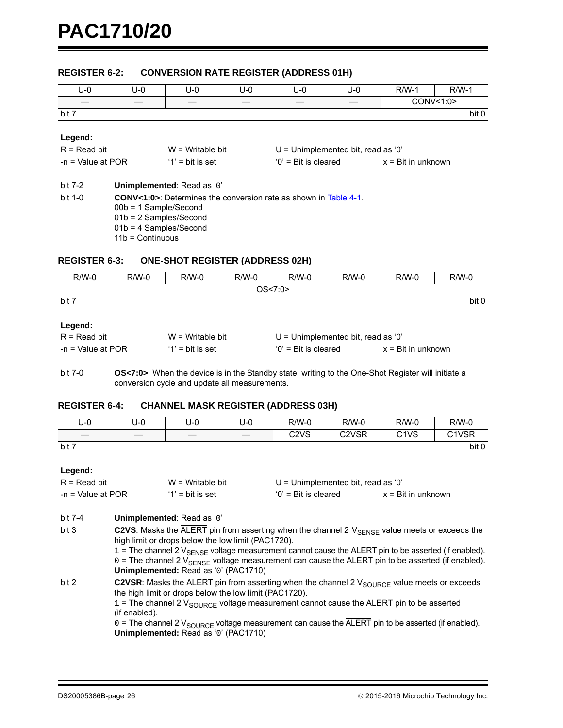#### <span id="page-25-1"></span>**REGISTER 6-2: CONVERSION RATE REGISTER (ADDRESS 01H)**

| $U-0$               | $U - 0$ | $U - 0$                    | U-0 | U-0                    | $U-0$                                | $R/W-1$                     | $R/W-1$   |
|---------------------|---------|----------------------------|-----|------------------------|--------------------------------------|-----------------------------|-----------|
|                     |         |                            |     |                        |                                      |                             | CONV<1:0> |
| bit 7               |         |                            |     |                        |                                      |                             | bit 0     |
|                     |         |                            |     |                        |                                      |                             |           |
| Legend:             |         |                            |     |                        |                                      |                             |           |
| $R = Read bit$      |         | $W = Writeable bit$        |     |                        | $U =$ Unimplemented bit, read as '0' |                             |           |
| $-n = Value$ at POR |         | $'1'$ = bit is set         |     | $'0'$ = Bit is cleared |                                      | $x = \text{Bit in unknown}$ |           |
|                     |         |                            |     |                        |                                      |                             |           |
| bit 7-2             |         | Unimplemented: Read as '0' |     |                        |                                      |                             |           |

bit 1-0 **CONV<1:0>**: Determines the conversion rate as shown in [Table 4-1](#page-15-0). 00b = 1 Sample/Second 01b = 2 Samples/Second 01b = 4 Samples/Second 11b = Continuous

#### <span id="page-25-0"></span>**REGISTER 6-3: ONE-SHOT REGISTER (ADDRESS 02H)**

| $R/W-0$ | $R/W-0$ | $R/W-0$ | $R/W-0$ | $R/W-0$  | $R/W-0$ | $R/W-0$ | $R/W-0$ |
|---------|---------|---------|---------|----------|---------|---------|---------|
|         |         |         |         | OS < 7:0 |         |         |         |
| bit 7   |         |         |         |          |         |         | bit 0   |
|         |         |         |         |          |         |         |         |

| Legend:            |                     |                                    |                             |
|--------------------|---------------------|------------------------------------|-----------------------------|
| $R = Read bit$     | $W = Writeable bit$ | U = Unimplemented bit, read as '0' |                             |
| I-n = Value at POR | $'1'$ = bit is set  | $'0'$ = Bit is cleared             | $x = \text{Bit in unknown}$ |

bit 7-0 **OS<7:0>**: When the device is in the Standby state, writing to the One-Shot Register will initiate a conversion cycle and update all measurements.

#### <span id="page-25-2"></span>**REGISTER 6-4: CHANNEL MASK REGISTER (ADDRESS 03H)**

| U-0                              | U-0                            | U-0 | U-0                              | $R/W-0$                       | R/W-0                          | $R/W-0$                       | $R/W-0$                        |
|----------------------------------|--------------------------------|-----|----------------------------------|-------------------------------|--------------------------------|-------------------------------|--------------------------------|
| $\overbrace{\phantom{12322111}}$ | $\qquad \qquad \longleftarrow$ |     | $\overbrace{\phantom{12322111}}$ | C <sub>2</sub> V <sub>S</sub> | C <sub>2</sub> V <sub>SR</sub> | C <sub>1</sub> V <sub>S</sub> | C <sub>1</sub> V <sub>SR</sub> |
| bit 7                            |                                |     |                                  |                               |                                |                               | bit 0                          |

| Legend:            |                     |                                    |                             |
|--------------------|---------------------|------------------------------------|-----------------------------|
| $IR = Read bit$    | $W = Writeable bit$ | U = Unimplemented bit, read as '0' |                             |
| l-n = Value at POR | $'1'$ = bit is set  | $'0'$ = Bit is cleared             | $x = \text{Bit in unknown}$ |

bit 7-4 **Unimplemented**: Read as '0'

bit 3 **C2VS**: Masks the ALERT pin from asserting when the channel 2 V<sub>SENSE</sub> value meets or exceeds the high limit or drops below the low limit (PAC1720).

 $1$  = The channel 2  $V_{\text{SENSE}}$  voltage measurement cannot cause the  $\overline{\text{ALEFT}}$  pin to be asserted (if enabled).  $0 =$  The channel 2  $V_{\text{SENSE}}$  voltage measurement can cause the  $\overline{\text{ALERT}}$  pin to be asserted (if enabled). **Unimplemented:** Read as '0' (PAC1710)

bit 2 **C2VSR**: Masks the  $\overline{ALERT}$  pin from asserting when the channel 2  $V_{SOLIRCF}$  value meets or exceeds the high limit or drops below the low limit (PAC1720).

> 1 = The channel 2  $V_{\text{SOLRCE}}$  voltage measurement cannot cause the  $\overline{\text{ALERT}}$  pin to be asserted (if enabled).

 $0 =$  The channel 2  $V_{\text{SOURCE}}$  voltage measurement can cause the  $\overline{\text{ALERT}}$  pin to be asserted (if enabled). **Unimplemented:** Read as '0' (PAC1710)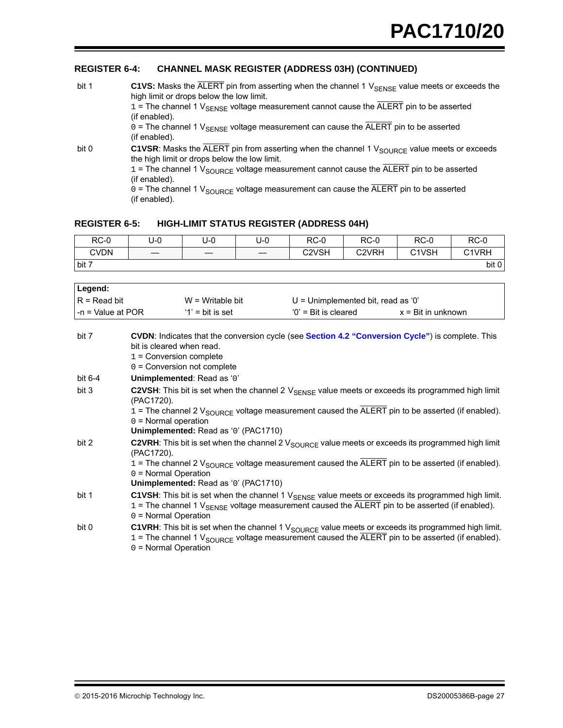#### **REGISTER 6-4: CHANNEL MASK REGISTER (ADDRESS 03H) (CONTINUED)**

| bit 1 | C1VS: Masks the $\overline{ALERT}$ pin from asserting when the channel 1 $V_{\text{SENSE}}$ value meets or exceeds the<br>high limit or drops below the low limit.<br>$1 =$ The channel 1 $V_{\text{SENSE}}$ voltage measurement cannot cause the ALERT pin to be asserted<br>(if enabled).                                                                                                              |
|-------|----------------------------------------------------------------------------------------------------------------------------------------------------------------------------------------------------------------------------------------------------------------------------------------------------------------------------------------------------------------------------------------------------------|
|       | $0 =$ The channel 1 $V_{\text{SENSE}}$ voltage measurement can cause the ALERT pin to be asserted<br>(if enabled).                                                                                                                                                                                                                                                                                       |
| bit 0 | C1VSR: Masks the ALERT pin from asserting when the channel 1 $V_{\text{SOLRCE}}$ value meets or exceeds<br>the high limit or drops below the low limit.<br>$1 =$ The channel 1 $V_{\text{SOLRCE}}$ voltage measurement cannot cause the ALERT pin to be asserted<br>(if enabled).<br>$0 =$ The channel 1 $V_{\text{SOLRCE}}$ voltage measurement can cause the ALERT pin to be asserted<br>(if enabled). |

#### <span id="page-26-0"></span>**REGISTER 6-5: HIGH-LIMIT STATUS REGISTER (ADDRESS 04H)**

| $RC-0$      | U-0 | U-0 | U-0 | $RC-0$                         | $RC-0$                         | $RC-0$                         | $RC-0$ |
|-------------|-----|-----|-----|--------------------------------|--------------------------------|--------------------------------|--------|
| <b>CVDN</b> |     |     |     | C <sub>2</sub> V <sub>SH</sub> | C <sub>2</sub> V <sub>RH</sub> | C <sub>1</sub> V <sub>SH</sub> | C1VRH  |
| bit 7       |     |     |     |                                |                                |                                | bit 0  |

| Legend:             |                                                        |                                      |                                                                                                  |                                                                                                                                                                                                                                                         |  |  |
|---------------------|--------------------------------------------------------|--------------------------------------|--------------------------------------------------------------------------------------------------|---------------------------------------------------------------------------------------------------------------------------------------------------------------------------------------------------------------------------------------------------------|--|--|
| $R = Read bit$      |                                                        | $W =$ Writable bit                   | $U =$ Unimplemented bit, read as '0'                                                             |                                                                                                                                                                                                                                                         |  |  |
| $-n =$ Value at POR |                                                        | $'1'$ = bit is set                   | $'0'$ = Bit is cleared                                                                           | $x = \text{Bit in unknown}$                                                                                                                                                                                                                             |  |  |
|                     |                                                        |                                      |                                                                                                  |                                                                                                                                                                                                                                                         |  |  |
| bit 7               | bit is cleared when read.<br>$1 =$ Conversion complete | $0 =$ Conversion not complete        | CVDN: Indicates that the conversion cycle (see Section 4.2 "Conversion Cycle") is complete. This |                                                                                                                                                                                                                                                         |  |  |
| bit 6-4             |                                                        | Unimplemented: Read as '0'           |                                                                                                  |                                                                                                                                                                                                                                                         |  |  |
| bit 3               | (PAC1720).<br>$0 =$ Normal operation                   | Unimplemented: Read as '0' (PAC1710) |                                                                                                  | C2VSH: This bit is set when the channel 2 $V_{\text{SENSE}}$ value meets or exceeds its programmed high limit<br>1 = The channel 2 $V_{\text{SOLRCE}}$ voltage measurement caused the ALERT pin to be asserted (if enabled).                            |  |  |
| bit 2               | (PAC1720).<br>$0 = Normal Operation$                   | Unimplemented: Read as '0' (PAC1710) |                                                                                                  | <b>C2VRH</b> : This bit is set when the channel 2 $V_{\text{SOLRCE}}$ value meets or exceeds its programmed high limit<br>1 = The channel 2 $V_{\text{SOWC}}$ voltage measurement caused the $\overline{\text{ALERT}}$ pin to be asserted (if enabled). |  |  |
| bit 1               |                                                        |                                      |                                                                                                  | C1VSH: This bit is set when the channel 1 VSENSE value meets or exceeds its programmed high limit.                                                                                                                                                      |  |  |

- $1$  = The channel 1  $V_{\text{SENSE}}$  voltage measurement caused the ALERT pin to be asserted (if enabled). 0 = Normal Operation bit 0 **C1VRH**: This bit is set when the channel 1 V<sub>SOURCE</sub> value meets or exceeds its programmed high limit.
	- $1$  = The channel 1  $V_{\text{SOLRCE}}$  voltage measurement caused the ALERT pin to be asserted (if enabled).  $0 =$  Normal Operation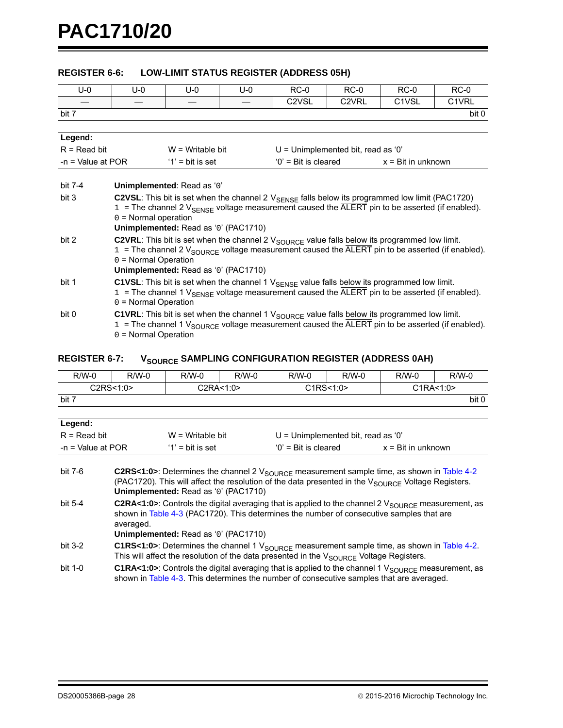#### **REGISTER 6-6: LOW-LIMIT STATUS REGISTER (ADDRESS 05H)**

| $U - 0$             | U-0                                                                                                                                     | U-0                                                                                                                                                                                                                      | $U-0$ | $RC-0$                         | $RC-0$                               | $RC-0$                         | $RC-0$                         |  |  |  |  |
|---------------------|-----------------------------------------------------------------------------------------------------------------------------------------|--------------------------------------------------------------------------------------------------------------------------------------------------------------------------------------------------------------------------|-------|--------------------------------|--------------------------------------|--------------------------------|--------------------------------|--|--|--|--|
|                     |                                                                                                                                         |                                                                                                                                                                                                                          |       | C <sub>2</sub> V <sub>SL</sub> | C <sub>2</sub> V <sub>RL</sub>       | C <sub>1</sub> V <sub>SL</sub> | C <sub>1</sub> V <sub>RL</sub> |  |  |  |  |
| bit 7               | bit 0                                                                                                                                   |                                                                                                                                                                                                                          |       |                                |                                      |                                |                                |  |  |  |  |
|                     |                                                                                                                                         |                                                                                                                                                                                                                          |       |                                |                                      |                                |                                |  |  |  |  |
| Legend:             |                                                                                                                                         |                                                                                                                                                                                                                          |       |                                |                                      |                                |                                |  |  |  |  |
| $R = Read bit$      |                                                                                                                                         | $W = Writeble bit$                                                                                                                                                                                                       |       |                                | $U =$ Unimplemented bit, read as '0' |                                |                                |  |  |  |  |
| $-n =$ Value at POR |                                                                                                                                         | $'1'$ = bit is set                                                                                                                                                                                                       |       | $'0'$ = Bit is cleared         |                                      | $x = \text{Bit in unknown}$    |                                |  |  |  |  |
|                     |                                                                                                                                         |                                                                                                                                                                                                                          |       |                                |                                      |                                |                                |  |  |  |  |
| bit 7-4             |                                                                                                                                         | Unimplemented: Read as '0'                                                                                                                                                                                               |       |                                |                                      |                                |                                |  |  |  |  |
| bit 3               |                                                                                                                                         | C2VSL: This bit is set when the channel 2 $V_{\text{SENSE}}$ falls below its programmed low limit (PAC1720)                                                                                                              |       |                                |                                      |                                |                                |  |  |  |  |
|                     |                                                                                                                                         | $1$ = The channel 2 $V_{SENSE}$ voltage measurement caused the ALERT pin to be asserted (if enabled).                                                                                                                    |       |                                |                                      |                                |                                |  |  |  |  |
|                     | $0 =$ Normal operation                                                                                                                  |                                                                                                                                                                                                                          |       |                                |                                      |                                |                                |  |  |  |  |
|                     |                                                                                                                                         | Unimplemented: Read as '0' (PAC1710)                                                                                                                                                                                     |       |                                |                                      |                                |                                |  |  |  |  |
| bit 2               |                                                                                                                                         | C2VRL: This bit is set when the channel 2 $V_{\text{SOLRCE}}$ value falls below its programmed low limit.                                                                                                                |       |                                |                                      |                                |                                |  |  |  |  |
|                     |                                                                                                                                         | $1$ = The channel 2 $V_{\text{SOLRCE}}$ voltage measurement caused the ALERT pin to be asserted (if enabled).                                                                                                            |       |                                |                                      |                                |                                |  |  |  |  |
|                     | $0 = Normal Operation$                                                                                                                  | Unimplemented: Read as '0' (PAC1710)                                                                                                                                                                                     |       |                                |                                      |                                |                                |  |  |  |  |
| bit 1               |                                                                                                                                         |                                                                                                                                                                                                                          |       |                                |                                      |                                |                                |  |  |  |  |
|                     |                                                                                                                                         | C1VSL: This bit is set when the channel 1 $V_{\text{SENSE}}$ value falls below its programmed low limit.<br>$1$ = The channel 1 $V_{\text{SENSE}}$ voltage measurement caused the ALERT pin to be asserted (if enabled). |       |                                |                                      |                                |                                |  |  |  |  |
|                     | $0 = Normal Operation$                                                                                                                  |                                                                                                                                                                                                                          |       |                                |                                      |                                |                                |  |  |  |  |
| bit 0               |                                                                                                                                         | C1VRL: This bit is set when the channel 1 $V_{\text{SOLRCE}}$ value falls below its programmed low limit.                                                                                                                |       |                                |                                      |                                |                                |  |  |  |  |
|                     |                                                                                                                                         |                                                                                                                                                                                                                          |       |                                |                                      |                                |                                |  |  |  |  |
|                     | $1$ = The channel 1 $V_{\text{SOLRCE}}$ voltage measurement caused the ALERT pin to be asserted (if enabled).<br>$0 = Normal Operation$ |                                                                                                                                                                                                                          |       |                                |                                      |                                |                                |  |  |  |  |

#### <span id="page-27-0"></span>**REGISTER 6-7: VSOURCE SAMPLING CONFIGURATION REGISTER (ADDRESS 0AH)**

| $R/W-0$ | $R/W-0$     | $R/W-0$ | $R/W-0$   | $R/W-0$    | $R/W-0$ | $R/W-0$     | $R/W-0$ |
|---------|-------------|---------|-----------|------------|---------|-------------|---------|
|         | C2RS < 1:0> |         | C2RA<1:0> | C1RS < 1:0 |         | C1RA < 1:0> |         |
| bit 7   |             |         |           |            |         |             | bit 0   |
|         |             |         |           |            |         |             |         |

| ∣ Legend:                                                                      |                    |                        |                             |  |
|--------------------------------------------------------------------------------|--------------------|------------------------|-----------------------------|--|
| $IR = Read bit$<br>$W = W$ ritable bit<br>$U =$ Unimplemented bit, read as '0' |                    |                        |                             |  |
| $l - n = Value$ at POR                                                         | $'1'$ = bit is set | $'0'$ = Bit is cleared | $x = \text{Bit in unknown}$ |  |

| bit 7-6 | <b>C2RS&lt;1:0&gt;:</b> Determines the channel 2 $V_{\text{SOLRCE}}$ measurement sample time, as shown in Table 4-2 |
|---------|---------------------------------------------------------------------------------------------------------------------|
|         | (PAC1720). This will affect the resolution of the data presented in the V <sub>SOURCE</sub> Voltage Registers.      |
|         | <b>Unimplemented:</b> Read as '0' (PAC1710)                                                                         |

bit 5-4 **C2RA<1:0>**: Controls the digital averaging that is applied to the channel 2 V<sub>SOURCE</sub> measurement, as shown in [Table 4-3](#page-15-4) (PAC1720). This determines the number of consecutive samples that are averaged.

**Unimplemented:** Read as '0' (PAC1710)

- bit 3-2 **C1RS<1:0>**: Determines the channel 1 V<sub>SOURCE</sub> measurement sample time, as shown in [Table 4-2.](#page-15-2) This will affect the resolution of the data presented in the  $V_{\text{SOLRCE}}$  Voltage Registers.
- bit 1-0 **C1RA<1:0>**: Controls the digital averaging that is applied to the channel 1 V<sub>SOURCE</sub> measurement, as shown in [Table 4-3](#page-15-4). This determines the number of consecutive samples that are averaged.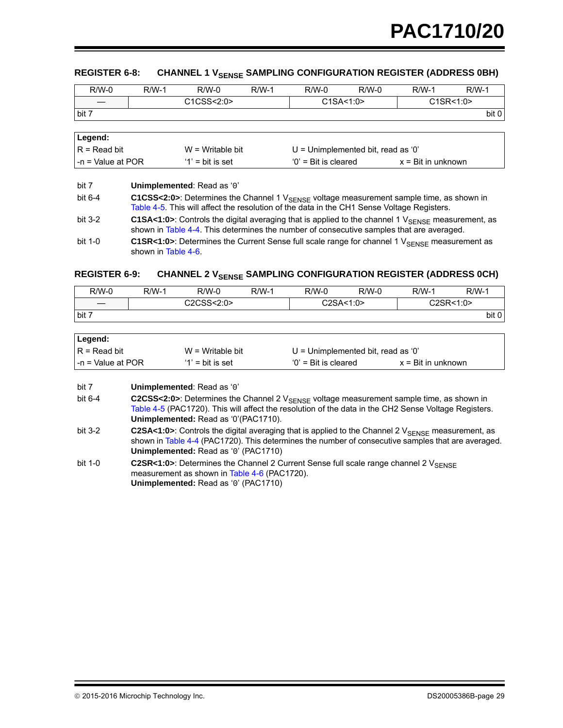<span id="page-28-0"></span>

| $R/W-0$           | $R/W-1$    | $R/W-0$ | $R/W-1$ | $R/W-0$    | $R/W-0$ | $R/W-1$   | $R/W-1$ |
|-------------------|------------|---------|---------|------------|---------|-----------|---------|
| $\hspace{0.05cm}$ | C1CSS<2:0> |         |         | C1SA < 1:0 |         | C1SR<1:0> |         |
| bit 7             |            |         |         |            |         |           | bit 0   |
|                   |            |         |         |            |         |           |         |

| Legend:                   |                     |                                    |                             |
|---------------------------|---------------------|------------------------------------|-----------------------------|
| $R = Read bit$            | $W = Writeable bit$ | U = Unimplemented bit, read as '0' |                             |
| $\vert$ -n = Value at POR | $'1'$ = bit is set  | $'0'$ = Bit is cleared             | $x = \text{Bit in unknown}$ |

| bit 7     | Unimplemented: Read as '0'                                                                                                                                                                                |
|-----------|-----------------------------------------------------------------------------------------------------------------------------------------------------------------------------------------------------------|
| bit $6-4$ | C1CSS<2:0>: Determines the Channel 1 V <sub>SENSE</sub> voltage measurement sample time, as shown in<br>Table 4-5. This will affect the resolution of the data in the CH1 Sense Voltage Registers.        |
| bit $3-2$ | C1SA<1:0>: Controls the digital averaging that is applied to the channel 1 $V_{\text{SENSF}}$ measurement, as<br>shown in Table 4-4. This determines the number of consecutive samples that are averaged. |
| bit 1-0   | <b>C1SR&lt;1:0&gt;:</b> Determines the Current Sense full scale range for channel 1 $V_{\text{SENSE}}$ measurement as<br>shown in Table 4-6.                                                              |

## **REGISTER 6-9: CHANNEL 2 VSENSE SAMPLING CONFIGURATION REGISTER (ADDRESS 0CH)**

| $R/W-0$           | R/W-1      | $R/W-0$ | $R/W-1$ | $R/W-0$   | $R/W-0$ | R/W-1     | $R/W-1$ |
|-------------------|------------|---------|---------|-----------|---------|-----------|---------|
| $\hspace{0.05cm}$ | C2CSS<2:0> |         |         | C2SA<1:0> |         | C2SR<1:0> |         |
| bit 7             |            |         |         |           |         |           | bit 0   |
|                   |            |         |         |           |         |           |         |

| Legend:                                                                     |                    |                        |                             |  |
|-----------------------------------------------------------------------------|--------------------|------------------------|-----------------------------|--|
| $R = Read bit$<br>$W = Writeable bit$<br>U = Unimplemented bit, read as '0' |                    |                        |                             |  |
| I-n = Value at POR                                                          | $'1'$ = bit is set | $'0'$ = Bit is cleared | $x = \text{Bit in unknown}$ |  |

| bit 7 | Unimplemented: Read as '0' |
|-------|----------------------------|
|-------|----------------------------|

bit 6-4 **C2CSS<2:0>**: Determines the Channel 2 V<sub>SENSE</sub> voltage measurement sample time, as shown in [Table 4-5](#page-16-0) (PAC1720). This will affect the resolution of the data in the CH2 Sense Voltage Registers. **Unimplemented:** Read as '0'(PAC1710).

- bit 3-2 **C2SA<1:0>**: Controls the digital averaging that is applied to the Channel 2 V<sub>SENSE</sub> measurement, as shown in [Table 4-4](#page-16-2) (PAC1720). This determines the number of consecutive samples that are averaged. **Unimplemented:** Read as '0' (PAC1710)
- bit 1-0 **C2SR<1:0>**: Determines the Channel 2 Current Sense full scale range channel 2 V<sub>SENSE</sub> measurement as shown in [Table 4-6](#page-16-1) (PAC1720). **Unimplemented:** Read as '0' (PAC1710)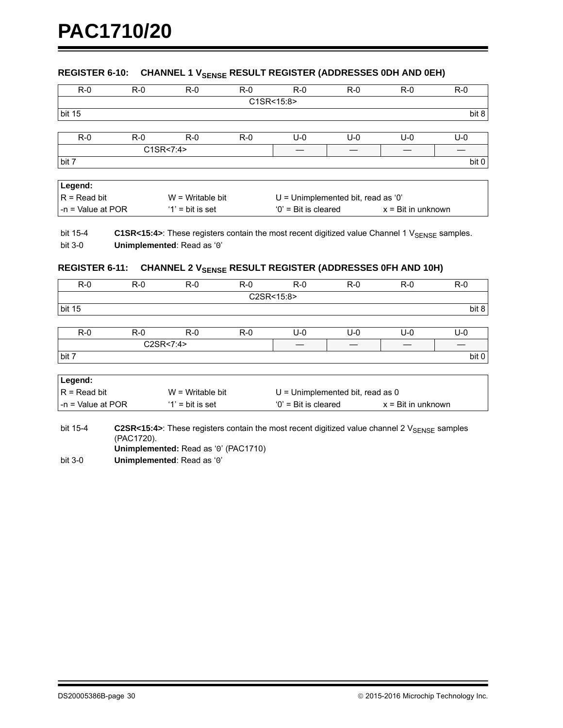## <span id="page-29-0"></span>**REGISTER 6-10: CHANNEL 1 VSENSE RESULT REGISTER (ADDRESSES 0DH AND 0EH)**

| $R - 0$                              | $R-0$ | $R - 0$            | $R - 0$                              | $R-0$                 | $R-0$ | $R - 0$                     | $R-0$   |
|--------------------------------------|-------|--------------------|--------------------------------------|-----------------------|-------|-----------------------------|---------|
|                                      |       |                    |                                      | C1SR<15:8>            |       |                             |         |
| bit 15                               |       |                    |                                      |                       |       |                             | bit 8   |
|                                      |       |                    |                                      |                       |       |                             |         |
| $R-0$                                | $R-0$ | $R-0$              | $R-0$                                | $U-0$                 | $U-0$ | $U-0$                       | $U - 0$ |
|                                      |       | C1SR<7:4>          |                                      |                       |       |                             |         |
| bit 7                                |       |                    |                                      |                       |       |                             | bit 0   |
|                                      |       |                    |                                      |                       |       |                             |         |
| Legend:                              |       |                    |                                      |                       |       |                             |         |
| $R = Read bit$<br>$W =$ Writable bit |       |                    | $U =$ Unimplemented bit, read as '0' |                       |       |                             |         |
| $-$ n = Value at POR                 |       | $'1'$ = bit is set |                                      | $0'$ = Bit is cleared |       | $x = \text{Bit in unknown}$ |         |

bit 15-4 **C1SR<15:4>:** These registers contain the most recent digitized value Channel 1 V<sub>SENSE</sub> samples. bit 3-0 **Unimplemented**: Read as '0'

#### <span id="page-29-1"></span>**REGISTER 6-11: CHANNEL 2 VSENSE RESULT REGISTER (ADDRESSES OFH AND 10H)**

| $R-0$  | $R-0$ | $R - 0$ | $R-0$ | $R - 0$    | $R-0$ | $R-0$ | $R-0$ |
|--------|-------|---------|-------|------------|-------|-------|-------|
|        |       |         |       | C2SR<15:8> |       |       |       |
| bit 15 |       |         |       |            |       |       | bit 8 |
|        |       |         |       |            |       |       |       |
| $R-0$  | $R-0$ | $R - 0$ | $R-0$ | U-0        | U-0   | U-0   | U-0   |

| ĸ-v   | א-∪               | <b>K-U</b> | <b>__</b><br>ר-ט | ∪−∪ | ∪−∪ | U-U | u-u   |
|-------|-------------------|------------|------------------|-----|-----|-----|-------|
|       | C2SR<7:4><br>∪∠ง๙ |            |                  |     |     |     |       |
| bit 7 |                   |            |                  |     |     |     | bit 0 |

| Legend:            |                     |                                    |                             |
|--------------------|---------------------|------------------------------------|-----------------------------|
| $R = Read bit$     | $W = W$ ritable bit | $U =$ Unimplemented bit, read as 0 |                             |
| I-n = Value at POR | $'1'$ = bit is set  | $'0'$ = Bit is cleared             | $x = \text{Bit in unknown}$ |

bit 15-4 **C2SR<15:4>**: These registers contain the most recent digitized value channel 2 V<sub>SENSE</sub> samples (PAC1720).

**Unimplemented:** Read as '0' (PAC1710)

bit 3-0 **Unimplemented**: Read as '0'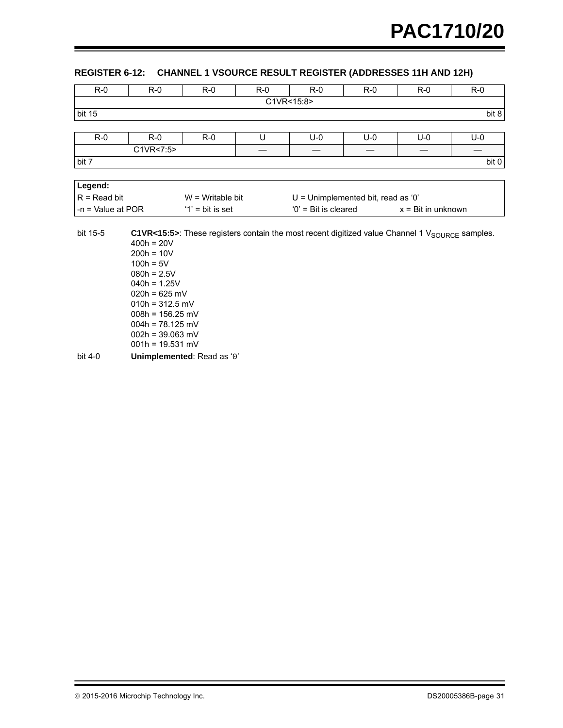## <span id="page-30-0"></span>**REGISTER 6-12: CHANNEL 1 VSOURCE RESULT REGISTER (ADDRESSES 11H AND 12H)**

| $R-0$               | $R-0$               | $R-0$               | $R - 0$ | $R-0$                                                                                                      | $R - 0$ | $R - 0$                     | $R - 0$ |  |
|---------------------|---------------------|---------------------|---------|------------------------------------------------------------------------------------------------------------|---------|-----------------------------|---------|--|
|                     |                     |                     |         | C1VR<15:8>                                                                                                 |         |                             |         |  |
| bit 15              |                     |                     |         |                                                                                                            |         |                             | bit 8   |  |
|                     |                     |                     |         |                                                                                                            |         |                             |         |  |
| $R-0$               | $R-0$               | $R-0$               | U       | $U-0$                                                                                                      | $U-0$   | $U-0$                       | U-0     |  |
|                     | C1VR<7:5>           |                     | —       |                                                                                                            |         |                             |         |  |
| bit 7               |                     |                     |         |                                                                                                            |         |                             | bit 0   |  |
|                     |                     |                     |         |                                                                                                            |         |                             |         |  |
| Legend:             |                     |                     |         |                                                                                                            |         |                             |         |  |
| $R = Read bit$      |                     | $W = W$ ritable bit |         | $U =$ Unimplemented bit, read as '0'                                                                       |         |                             |         |  |
| $-n =$ Value at POR |                     | $'1'$ = bit is set  |         | $'0'$ = Bit is cleared                                                                                     |         | $x = \text{Bit in unknown}$ |         |  |
|                     |                     |                     |         |                                                                                                            |         |                             |         |  |
| bit 15-5            |                     |                     |         | C1VR<15:5>: These registers contain the most recent digitized value Channel 1 $V_{\text{SOLRCE}}$ samples. |         |                             |         |  |
|                     | $400h = 20V$        |                     |         |                                                                                                            |         |                             |         |  |
|                     | $200h = 10V$        |                     |         |                                                                                                            |         |                             |         |  |
|                     | $100h = 5V$         |                     |         |                                                                                                            |         |                             |         |  |
|                     | $080h = 2.5V$       |                     |         |                                                                                                            |         |                             |         |  |
|                     | $040h = 1.25V$      |                     |         |                                                                                                            |         |                             |         |  |
|                     | $020h = 625 mV$     |                     |         |                                                                                                            |         |                             |         |  |
|                     | $010h = 312.5 mV$   |                     |         |                                                                                                            |         |                             |         |  |
|                     | $008h = 156.25 mV$  |                     |         |                                                                                                            |         |                             |         |  |
|                     | $0.046 - 70.495$ mV |                     |         |                                                                                                            |         |                             |         |  |

004h = 78.125 mV  $002h = 39.063$  mV

001h = 19.531 mV

bit 4-0 **Unimplemented**: Read as '0'

© 2015-2016 Microchip Technology Inc. COMEXANDED SAME CONTROLLER DUE OF DS20005386B-page 31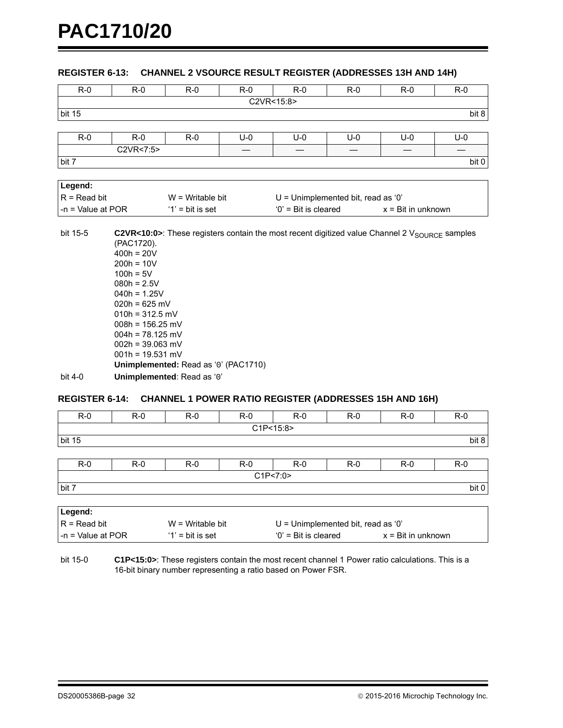#### **REGISTER 6-13: CHANNEL 2 VSOURCE RESULT REGISTER (ADDRESSES 13H AND 14H)**

| $R - 0$             | $R-0$                                                                                        | $R - 0$            | $R-0$ | $R-0$                                                                                                     | $R-0$ | $R-0$                       | $R-0$ |  |
|---------------------|----------------------------------------------------------------------------------------------|--------------------|-------|-----------------------------------------------------------------------------------------------------------|-------|-----------------------------|-------|--|
|                     |                                                                                              |                    |       | C2VR<15:8>                                                                                                |       |                             |       |  |
| bit 15              |                                                                                              |                    |       |                                                                                                           |       |                             | bit 8 |  |
|                     |                                                                                              |                    |       |                                                                                                           |       |                             |       |  |
| $R - 0$             | $R - 0$                                                                                      | $R - 0$            | $U-0$ | $U-0$                                                                                                     | $U-0$ | $U-0$                       | $U-0$ |  |
|                     | C2VR<7:5>                                                                                    |                    |       |                                                                                                           |       |                             |       |  |
| bit 7               |                                                                                              |                    |       |                                                                                                           |       |                             | bit 0 |  |
|                     |                                                                                              |                    |       |                                                                                                           |       |                             |       |  |
| Legend:             |                                                                                              |                    |       |                                                                                                           |       |                             |       |  |
| $R = Read bit$      |                                                                                              | $W =$ Writable bit |       | $U =$ Unimplemented bit, read as '0'                                                                      |       |                             |       |  |
| $-n =$ Value at POR |                                                                                              | $'1'$ = bit is set |       | $'0'$ = Bit is cleared                                                                                    |       | $x = \text{Bit in unknown}$ |       |  |
| bit 15-5            | (PAC1720).<br>$400h = 20V$<br>$200h = 10V$<br>$100h = 5V$<br>$080h = 2.5V$<br>$040h = 1.25V$ |                    |       | C2VR<10:0>: These registers contain the most recent digitized value Channel 2 $V_{\text{SOLRCE}}$ samples |       |                             |       |  |
|                     | $020h = 625 mV$<br>$010h = 312.5$ mV                                                         |                    |       |                                                                                                           |       |                             |       |  |

| bit 4-0 | Unimplemented: Read as '0'           |
|---------|--------------------------------------|
|         | Unimplemented: Read as '0' (PAC1710) |
|         | $001h = 19.531 mV$                   |
|         | $002h = 39.063$ mV                   |
|         | $004h = 78.125$ mV                   |
|         | $008h = 156.25 \text{ mV}$           |
|         | $010h = 312.5$ mV                    |
|         |                                      |

#### <span id="page-31-0"></span>**REGISTER 6-14: CHANNEL 1 POWER RATIO REGISTER (ADDRESSES 15H AND 16H)**

| $R-0$                                                                                              | $R-0$ | $R - 0$ | $R - 0$ | $R-0$      | $R-0$ | $R-0$ | $R-0$ |
|----------------------------------------------------------------------------------------------------|-------|---------|---------|------------|-------|-------|-------|
|                                                                                                    |       |         |         | C1P < 15:8 |       |       |       |
| <b>bit 15</b>                                                                                      |       |         |         |            |       |       | bit 8 |
|                                                                                                    |       |         |         |            |       |       |       |
| $R-0$                                                                                              | $R-0$ | $R-0$   | $R - 0$ | $R-0$      | $R-0$ | $R-0$ | $R-0$ |
|                                                                                                    |       |         |         | C1P < 7:0  |       |       |       |
| bit 7                                                                                              |       |         |         |            |       |       | bit 0 |
|                                                                                                    |       |         |         |            |       |       |       |
| Legend:                                                                                            |       |         |         |            |       |       |       |
| $R = Read bit$<br>$U =$ Unimplemented bit, read as '0'<br>$W =$ Writable bit                       |       |         |         |            |       |       |       |
| $'0'$ = Bit is cleared<br>$-n =$ Value at POR<br>$'1'$ = bit is set<br>$x = \text{Bit in unknown}$ |       |         |         |            |       |       |       |

bit 15-0 **C1P<15:0>**: These registers contain the most recent channel 1 Power ratio calculations. This is a 16-bit binary number representing a ratio based on Power FSR.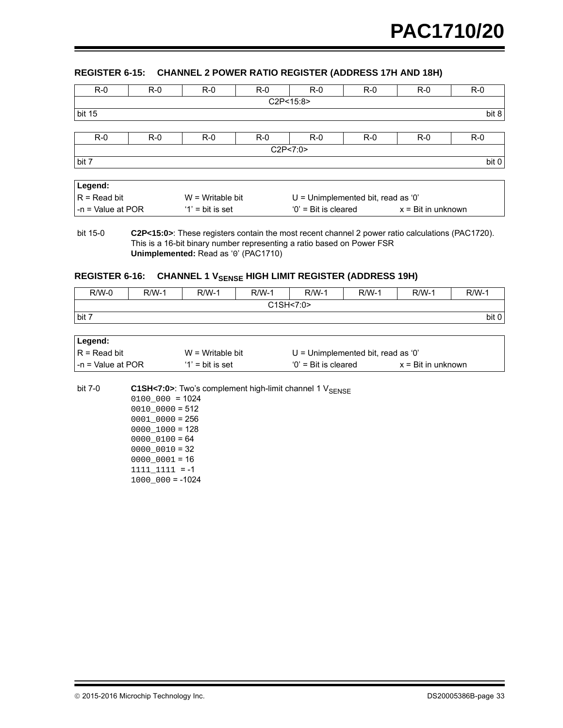#### <span id="page-32-0"></span>**REGISTER 6-15: CHANNEL 2 POWER RATIO REGISTER (ADDRESS 17H AND 18H)**

| $R-0$                                                                                              | $R-0$ | $R-0$ | $R-0$ | $R-0$      | $R-0$ | $R-0$ | $R-0$ |
|----------------------------------------------------------------------------------------------------|-------|-------|-------|------------|-------|-------|-------|
|                                                                                                    |       |       |       | C2P<15:8>  |       |       |       |
| <b>bit 15</b>                                                                                      |       |       |       |            |       |       | bit 8 |
|                                                                                                    |       |       |       |            |       |       |       |
| $R-0$                                                                                              | $R-0$ | $R-0$ | $R-0$ | $R-0$      | $R-0$ | $R-0$ | $R-0$ |
|                                                                                                    |       |       |       | C2P < 7:0> |       |       |       |
| bit 7                                                                                              |       |       |       |            |       |       | bit 0 |
|                                                                                                    |       |       |       |            |       |       |       |
| Legend:                                                                                            |       |       |       |            |       |       |       |
| $R = Read bit$<br>$U =$ Unimplemented bit, read as '0'<br>$W = W$ ritable bit                      |       |       |       |            |       |       |       |
| $'0'$ = Bit is cleared<br>$-n =$ Value at POR<br>$'1'$ = bit is set<br>$x = \text{Bit in unknown}$ |       |       |       |            |       |       |       |

bit 15-0 **C2P<15:0>**: These registers contain the most recent channel 2 power ratio calculations (PAC1720). This is a 16-bit binary number representing a ratio based on Power FSR **Unimplemented:** Read as '0' (PAC1710)

## <span id="page-32-1"></span>REGISTER 6-16: CHANNEL 1 V<sub>SENSE</sub> HIGH LIMIT REGISTER (ADDRESS 19H)

| $R/W-0$ | $R/W-1$ | $R/W-1$ | $R/W-1$   | $R/W-1$ | $R/W-1$ | $R/W-1$ | $R/W-1$ |
|---------|---------|---------|-----------|---------|---------|---------|---------|
|         |         |         | C1SH<7:0> |         |         |         |         |
| bit 7   |         |         |           |         |         |         | bit 0   |
|         |         |         |           |         |         |         |         |
| Legend: |         |         |           |         |         |         |         |

| Legend:            |                     |                                    |                             |
|--------------------|---------------------|------------------------------------|-----------------------------|
| $R = Read bit$     | $W = Writeable bit$ | U = Unimplemented bit, read as '0' |                             |
| I-n = Value at POR | $'1'$ = bit is set  | $'0'$ = Bit is cleared             | $x = \text{Bit in unknown}$ |

bit 7-0 **C1SH<7:0>**: Two's complement high-limit channel 1 V<sub>SENSE</sub>

|  |                  |  |  | $0100000 = 1024$  |  |
|--|------------------|--|--|-------------------|--|
|  |                  |  |  | $0010000 = 512$   |  |
|  |                  |  |  | $00010000 = 256$  |  |
|  |                  |  |  | $00001000 = 128$  |  |
|  | $000000100 = 64$ |  |  |                   |  |
|  | $00000010 = 32$  |  |  |                   |  |
|  | $00000001 = 16$  |  |  |                   |  |
|  | 1111 1111 =-1    |  |  |                   |  |
|  |                  |  |  | $1000000 = -1024$ |  |
|  |                  |  |  |                   |  |

2015-2016 Microchip Technology Inc. DS20005386B-page 33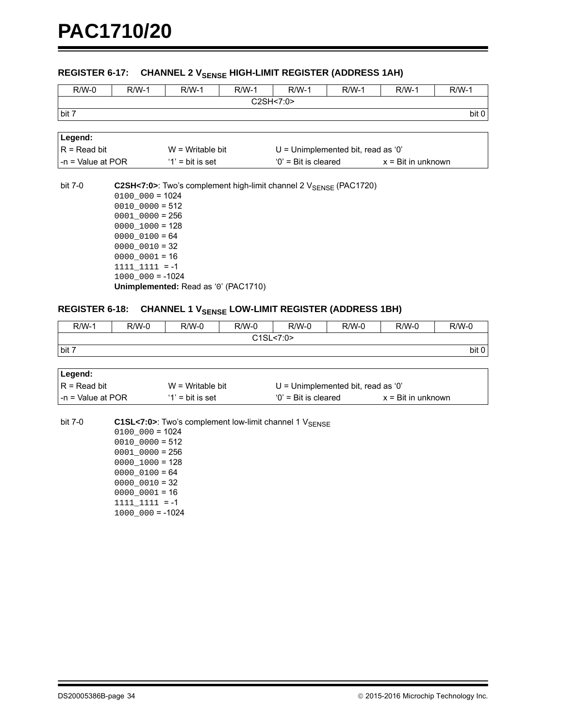#### REGISTER 6-17: CHANNEL 2 V<sub>SENSE</sub> HIGH-LIMIT REGISTER (ADDRESS 1AH)

| $R/W-0$                               | $R/W-1$             | $R/W-1$                                                                      | $R/W-1$                              | $R/W-1$                | $R/W-1$ | $R/W-1$ | $R/W-1$                     |  |
|---------------------------------------|---------------------|------------------------------------------------------------------------------|--------------------------------------|------------------------|---------|---------|-----------------------------|--|
|                                       |                     |                                                                              |                                      | C2SH<7:0>              |         |         |                             |  |
| bit 7                                 |                     |                                                                              |                                      |                        |         |         | bit 0                       |  |
|                                       |                     |                                                                              |                                      |                        |         |         |                             |  |
| Legend:                               |                     |                                                                              |                                      |                        |         |         |                             |  |
| $R = Read bit$<br>$W = Writeable bit$ |                     |                                                                              | $U =$ Unimplemented bit, read as '0' |                        |         |         |                             |  |
| $-n =$ Value at POR                   |                     | $'1'$ = bit is set                                                           |                                      | $'0'$ = Bit is cleared |         |         | $x = \text{Bit in unknown}$ |  |
|                                       |                     |                                                                              |                                      |                        |         |         |                             |  |
| bit 7-0                               |                     | C2SH<7:0>: Two's complement high-limit channel $2V_{\text{SPNSF}}$ (PAC1720) |                                      |                        |         |         |                             |  |
|                                       | $0100000 = 1024$    |                                                                              |                                      |                        |         |         |                             |  |
| $0010 0000 = 512$                     |                     |                                                                              |                                      |                        |         |         |                             |  |
|                                       | $0001$ $0000 = 256$ |                                                                              |                                      |                        |         |         |                             |  |
|                                       | $0000 1000 = 128$   |                                                                              |                                      |                        |         |         |                             |  |
|                                       | $000000100 = 64$    |                                                                              |                                      |                        |         |         |                             |  |

 $0000_0010 = 32$  $0000_00001 = 16$ 

1111\_1111 = -1

 $1000_000 = -1024$ 

**Unimplemented:** Read as '0' (PAC1710)

#### <span id="page-33-0"></span>REGISTER 6-18: CHANNEL 1 V<sub>SENSE</sub> LOW-LIMIT REGISTER (ADDRESS 1BH)

| $R/W-1$ | R/W-0 | $R/W-0$ | $R/W-0$ | $R/W-0$   | $R/W-0$ | $R/W-0$ | $R/W-0$ |
|---------|-------|---------|---------|-----------|---------|---------|---------|
|         |       |         |         | C1SL<7:0> |         |         |         |
| bit 7   |       |         |         |           |         |         | bit 0   |

| Legend:            |                     |                                      |                             |
|--------------------|---------------------|--------------------------------------|-----------------------------|
| $IR = Read bit$    | $W = Writeable bit$ | $U =$ Unimplemented bit, read as '0' |                             |
| I-n = Value at POR | $'1'$ = bit is set  | $0'$ = Bit is cleared                | $x = \text{Bit in unknown}$ |

bit 7-0 **C1SL<7:0>**: Two's complement low-limit channel 1 V<sub>SENSE</sub>  $0100_000 = 1024$  $0010_00000 = 512$  $0001\_{0000} = 256$  $0000_1000 = 128$  $0000_0100 = 64$  $0000_0010 = 32$  $0000_00001 = 16$ 1111\_1111 = -1  $1000\_{000} = -1024$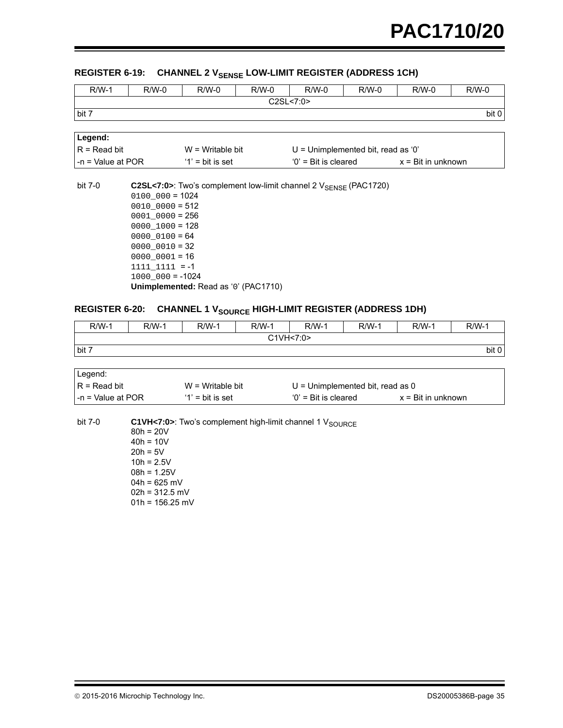## REGISTER 6-19: CHANNEL 2 V<sub>SENSE</sub> LOW-LIMIT REGISTER (ADDRESS 1CH)

| $R/W-1$                                                             | $R/W-0$             | $R/W-0$                                                                      | $R/W-0$ | $R/W-0$   | $R/W-0$                              | $R/W-0$ | $R/W-0$ |
|---------------------------------------------------------------------|---------------------|------------------------------------------------------------------------------|---------|-----------|--------------------------------------|---------|---------|
|                                                                     |                     |                                                                              |         | C2SL<7:0> |                                      |         |         |
| bit 7                                                               |                     |                                                                              |         |           |                                      |         | bit 0   |
|                                                                     |                     |                                                                              |         |           |                                      |         |         |
| Legend:                                                             |                     |                                                                              |         |           |                                      |         |         |
| $R = Read bit$                                                      |                     | $W = Writeable bit$                                                          |         |           | $U =$ Unimplemented bit, read as '0' |         |         |
| $-n =$ Value at POR<br>$'0'$ = Bit is cleared<br>$'1'$ = bit is set |                     |                                                                              |         |           | $x = \text{Bit in unknown}$          |         |         |
|                                                                     |                     |                                                                              |         |           |                                      |         |         |
| bit 7-0                                                             |                     | C2SL<7:0>: Two's complement low-limit channel 2 V <sub>SENSE</sub> (PAC1720) |         |           |                                      |         |         |
|                                                                     | $0100000 = 1024$    |                                                                              |         |           |                                      |         |         |
|                                                                     | $0010 0000 = 512$   |                                                                              |         |           |                                      |         |         |
|                                                                     | $0001$ $0000 = 256$ |                                                                              |         |           |                                      |         |         |
|                                                                     | $0000 1000 = 128$   |                                                                              |         |           |                                      |         |         |
|                                                                     | $000000100 = 64$    |                                                                              |         |           |                                      |         |         |
|                                                                     | $000000010 = 32$    |                                                                              |         |           |                                      |         |         |
|                                                                     | $000000001 = 16$    |                                                                              |         |           |                                      |         |         |
|                                                                     | $1111 1111 = -1$    |                                                                              |         |           |                                      |         |         |
|                                                                     | $1000000 = -1024$   |                                                                              |         |           |                                      |         |         |
|                                                                     |                     | Unimplemented: Read as '0' (PAC1710)                                         |         |           |                                      |         |         |

## <span id="page-34-0"></span>**REGISTER 6-20: CHANNEL 1 VSOURCE HIGH-LIMIT REGISTER (ADDRESS 1DH)**

| $R/W-1$   | R/W-1 | $R/W-1$ | R/W-1 | $R/W-1$ | $R/W-1$ | <b>R/W-1</b> | $R/W-1$ |
|-----------|-------|---------|-------|---------|---------|--------------|---------|
| C1VH<7:0> |       |         |       |         |         |              |         |
| bit 7     |       |         |       |         |         |              | bit 0   |

| Legend:            |                     |                                    |                             |
|--------------------|---------------------|------------------------------------|-----------------------------|
| $IR = Read bit$    | $W = Writeable bit$ | $U =$ Unimplemented bit, read as 0 |                             |
| l-n = Value at POR | $'1'$ = bit is set  | $'0'$ = Bit is cleared             | $x = \text{Bit in unknown}$ |

bit 7-0 **C1VH<7:0>**: Two's complement high-limit channel 1 V<sub>SOURCE</sub> 80h = 20V  $40h = 10V$  $20h = 5V$  $10h = 2.5V$ 08h = 1.25V  $04h = 625$  mV  $02h = 312.5$  mV  $01h = 156.25$  mV

2015-2016 Microchip Technology Inc. DS20005386B-page 35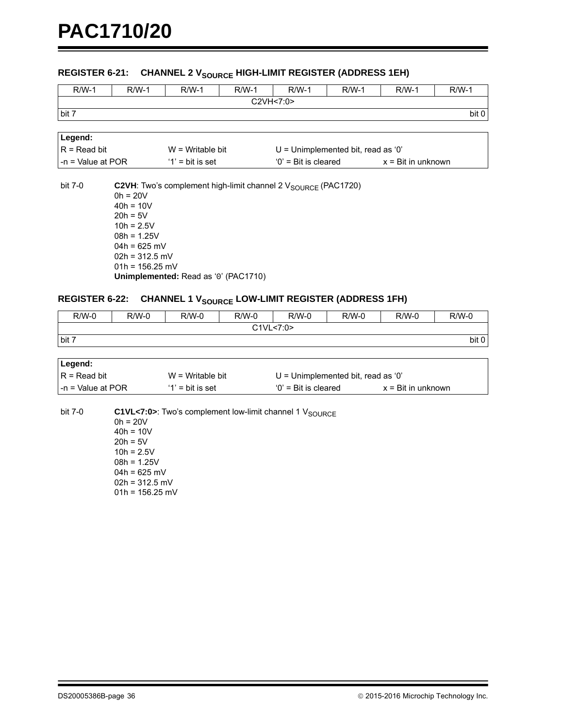## REGISTER 6-21: CHANNEL 2 V<sub>SOURCE</sub> HIGH-LIMIT REGISTER (ADDRESS 1EH)

| $R/W-1$               | $R/W-1$                         | $R/W-1$                              | $R/W-1$ | $R/W-1$                                                                   | $R/W-1$                              | $R/W-1$            | $R/W-1$ |  |  |
|-----------------------|---------------------------------|--------------------------------------|---------|---------------------------------------------------------------------------|--------------------------------------|--------------------|---------|--|--|
| C2VH<7:0>             |                                 |                                      |         |                                                                           |                                      |                    |         |  |  |
| bit 7                 |                                 |                                      |         |                                                                           |                                      |                    | bit 0   |  |  |
|                       |                                 |                                      |         |                                                                           |                                      |                    |         |  |  |
| Legend:               |                                 |                                      |         |                                                                           |                                      |                    |         |  |  |
| $R = Read bit$        |                                 | $W =$ Writable bit                   |         |                                                                           | $U =$ Unimplemented bit, read as '0' |                    |         |  |  |
| $-n =$ Value at POR   |                                 | $'1'$ = bit is set                   |         | $'0'$ = Bit is cleared                                                    |                                      | x = Bit in unknown |         |  |  |
|                       |                                 |                                      |         |                                                                           |                                      |                    |         |  |  |
| bit 7-0               |                                 |                                      |         | C2VH: Two's complement high-limit channel 2 V <sub>SOURCE</sub> (PAC1720) |                                      |                    |         |  |  |
|                       | $0h = 20V$                      |                                      |         |                                                                           |                                      |                    |         |  |  |
|                       | $40h = 10V$                     |                                      |         |                                                                           |                                      |                    |         |  |  |
|                       | $20h = 5V$                      |                                      |         |                                                                           |                                      |                    |         |  |  |
|                       | $10h = 2.5V$                    |                                      |         |                                                                           |                                      |                    |         |  |  |
|                       | $08h = 1.25V$<br>$04h = 625$ mV |                                      |         |                                                                           |                                      |                    |         |  |  |
|                       | $02h = 312.5$ mV                |                                      |         |                                                                           |                                      |                    |         |  |  |
|                       | $01h = 156.25$ mV               |                                      |         |                                                                           |                                      |                    |         |  |  |
|                       |                                 | Unimplemented: Read as '0' (PAC1710) |         |                                                                           |                                      |                    |         |  |  |
|                       |                                 |                                      |         |                                                                           |                                      |                    |         |  |  |
| <b>REGISTER 6-22:</b> |                                 |                                      |         | <b>CHANNEL 1 VSOURCE LOW-LIMIT REGISTER (ADDRESS 1FH)</b>                 |                                      |                    |         |  |  |
| $R/W-0$               | $R/W-0$                         | $R/W-0$                              | $R/W-0$ | $R/W-0$                                                                   | $R/W-0$                              | $R/W-0$            | $R/W-0$ |  |  |

<span id="page-35-0"></span>

| . <u>.</u> | . <u>.</u> | . <u>.</u> | . <u>.</u> | . <u>.</u> | . <u>.</u> | . <u>.</u> | .     |
|------------|------------|------------|------------|------------|------------|------------|-------|
|            |            |            |            | C1VL<7:0>  |            |            |       |
| bit 7      |            |            |            |            |            |            | bit 0 |
|            |            |            |            |            |            |            |       |
| Legend:    |            |            |            |            |            |            |       |

| ⊥∟∪y∪nu.            |                     |                                      |                             |
|---------------------|---------------------|--------------------------------------|-----------------------------|
| $R = Read bit$      | $W = Writeable bit$ | $U =$ Unimplemented bit, read as '0' |                             |
| l -n = Value at POR | $'1'$ = bit is set  | $'0'$ = Bit is cleared               | $x = \text{Bit in unknown}$ |

bit 7-0 **C1VL<7:0>**: Two's complement low-limit channel 1 V<sub>SOURCE</sub>

 $0h = 20V$  $40h = 10V$  $20h = 5V$  $10h = 2.5V$ 08h = 1.25V  $04h = 625$  mV  $02h = 312.5$  mV  $01h = 156.25$  mV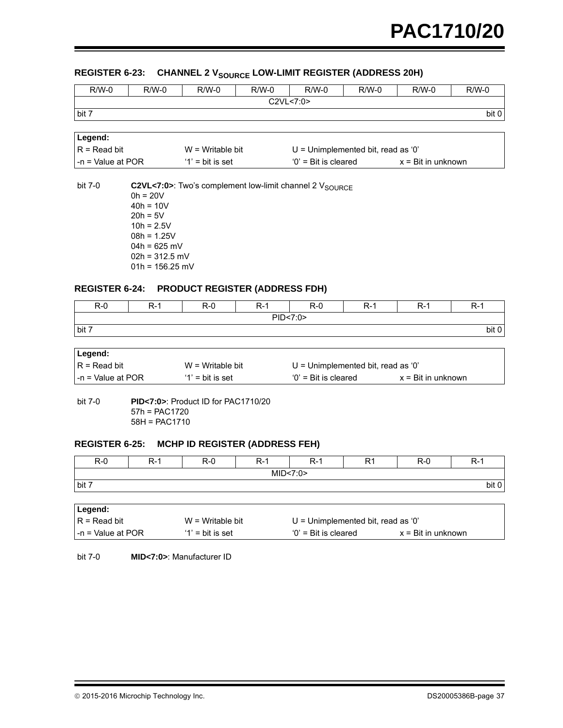### **REGISTER 6-23: CHANNEL 2 Vegupes LOW-LIMIT REGISTER (ADDRESS 20H)**

| $R/W-0$                                   | $R/W-0$                                                                                                                                      | $R/W-0$                                        | $R/W-0$ | $R/W-0$                                                          | $R/W-0$ | $R/W-0$                     | $R/W-0$ |
|-------------------------------------------|----------------------------------------------------------------------------------------------------------------------------------------------|------------------------------------------------|---------|------------------------------------------------------------------|---------|-----------------------------|---------|
|                                           |                                                                                                                                              |                                                |         | C2VL < 7:0>                                                      |         |                             |         |
| bit 7                                     |                                                                                                                                              |                                                |         |                                                                  |         |                             | bit 0   |
|                                           |                                                                                                                                              |                                                |         |                                                                  |         |                             |         |
| Legend:                                   |                                                                                                                                              |                                                |         |                                                                  |         |                             |         |
| $R = Read bit$                            |                                                                                                                                              | $W = Writeable bit$                            |         | $U =$ Unimplemented bit, read as '0'                             |         |                             |         |
| $-n = Value at POR$                       |                                                                                                                                              | $'1'$ = bit is set                             |         | $'0'$ = Bit is cleared                                           |         | $x = \text{Bit in unknown}$ |         |
| bit 7-0<br><b>REGISTER 6-24:</b><br>$R-0$ | $0h = 20V$<br>$40h = 10V$<br>$20h = 5V$<br>$10h = 2.5V$<br>$08h = 1.25V$<br>$04h = 625$ mV<br>$02h = 312.5$ mV<br>$01h = 156.25$ mV<br>$R-1$ | <b>PRODUCT REGISTER (ADDRESS FDH)</b><br>$R-0$ | $R-1$   | C2VL<7:0>: Two's complement low-limit channel 2 VSOURCE<br>$R-0$ | $R-1$   |                             | $R-1$   |
|                                           |                                                                                                                                              |                                                |         | PID<7:0>                                                         |         | $R-1$                       |         |
| bit 7                                     |                                                                                                                                              |                                                |         |                                                                  |         |                             | bit 0   |
|                                           |                                                                                                                                              |                                                |         |                                                                  |         |                             |         |
| Legend:                                   |                                                                                                                                              |                                                |         |                                                                  |         |                             |         |
| $R = Read bit$                            |                                                                                                                                              | $W = Writeable bit$                            |         | $U =$ Unimplemented bit, read as '0'                             |         |                             |         |
| $-n =$ Value at POR                       |                                                                                                                                              | $'1'$ = bit is set                             |         | $0'$ = Bit is cleared                                            |         | $x = \text{Bit}$ in unknown |         |
| bit 7-0                                   | $57h = PAC1720$<br>$58H = PAC1710$                                                                                                           | PID<7:0>: Product ID for PAC1710/20            |         |                                                                  |         |                             |         |
| <b>REGISTER 6-25:</b>                     |                                                                                                                                              | <b>MCHP ID REGISTER (ADDRESS FEH)</b>          |         |                                                                  |         |                             |         |
| $R-0$                                     | $R-1$                                                                                                                                        | $R-0$                                          | $R-1$   | $R-1$                                                            | R1      | $R-0$                       | $R-1$   |
|                                           |                                                                                                                                              |                                                |         | MID<7:0>                                                         |         |                             |         |
| bit 7                                     |                                                                                                                                              |                                                |         |                                                                  |         |                             | bit 0   |

| ∣Legend:               |                     |                                      |                             |
|------------------------|---------------------|--------------------------------------|-----------------------------|
| $IR = Read bit$        | $W = Writeable bit$ | $U =$ Unimplemented bit, read as '0' |                             |
| $l - n =$ Value at POR | $'1'$ = bit is set  | $0'$ = Bit is cleared                | $x = \text{Bit in unknown}$ |

bit 7-0 **MID<7:0>**: Manufacturer ID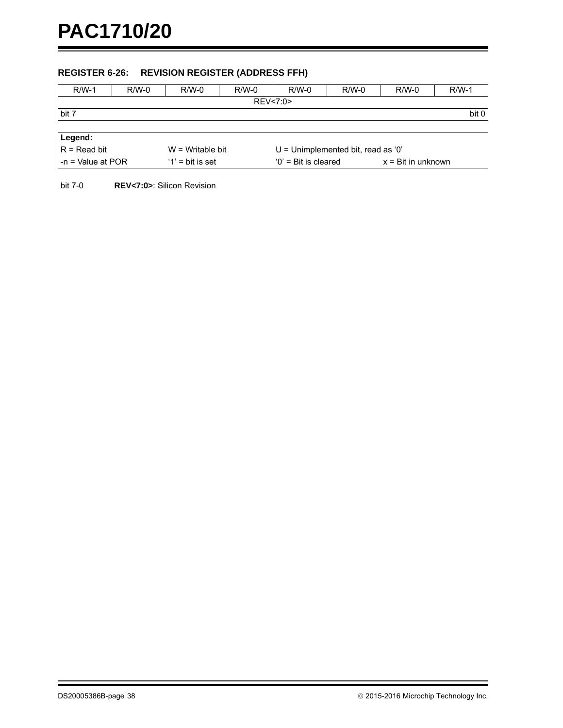## **REGISTER 6-26: REVISION REGISTER (ADDRESS FFH)**

| $R/W-1$                                                                                            | $R/W-0$ | $R/W-0$ | $R/W-0$ | $R/W-0$  | $R/W-0$ | $R/W-0$ | $R/W-1$ |
|----------------------------------------------------------------------------------------------------|---------|---------|---------|----------|---------|---------|---------|
|                                                                                                    |         |         |         | REV<7:0> |         |         |         |
| bit 7                                                                                              |         |         |         |          |         |         | bit 0   |
|                                                                                                    |         |         |         |          |         |         |         |
| Legend:                                                                                            |         |         |         |          |         |         |         |
| $R = Read bit$<br>$U =$ Unimplemented bit, read as '0'<br>$W = Writeable bit$                      |         |         |         |          |         |         |         |
| $-n = Value$ at POR<br>$'1'$ = bit is set<br>$'0'$ = Bit is cleared<br>$x = \text{Bit in unknown}$ |         |         |         |          |         |         |         |
|                                                                                                    |         |         |         |          |         |         |         |

bit 7-0 **REV<7:0>**: Silicon Revision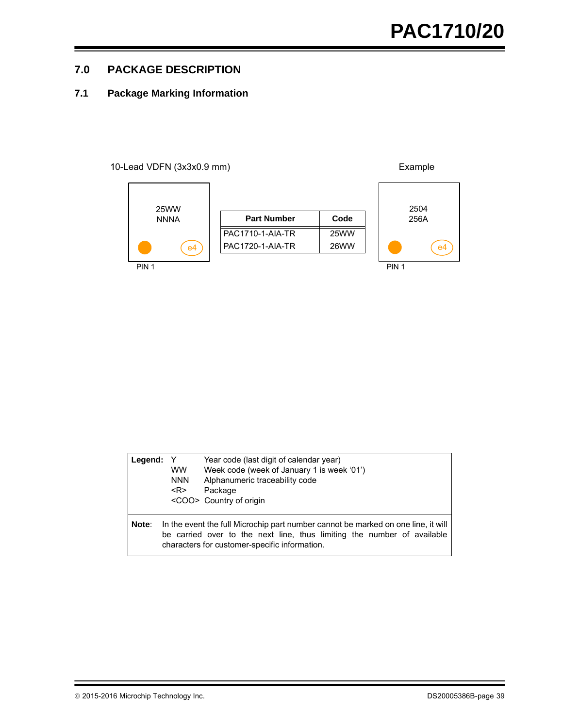e4

## <span id="page-38-0"></span>**7.0 PACKAGE DESCRIPTION**

## **7.1 Package Marking Information**

#### 10-Lead VDFN (3x3x0.9 mm) Example



| Legend: | Y<br><b>WW</b><br><b>NNN</b><br>$<$ R> | Year code (last digit of calendar year)<br>Week code (week of January 1 is week '01')<br>Alphanumeric traceability code<br>Package<br><coo> Country of origin</coo>                                           |
|---------|----------------------------------------|---------------------------------------------------------------------------------------------------------------------------------------------------------------------------------------------------------------|
| Note:   |                                        | In the event the full Microchip part number cannot be marked on one line, it will<br>be carried over to the next line, thus limiting the number of available<br>characters for customer-specific information. |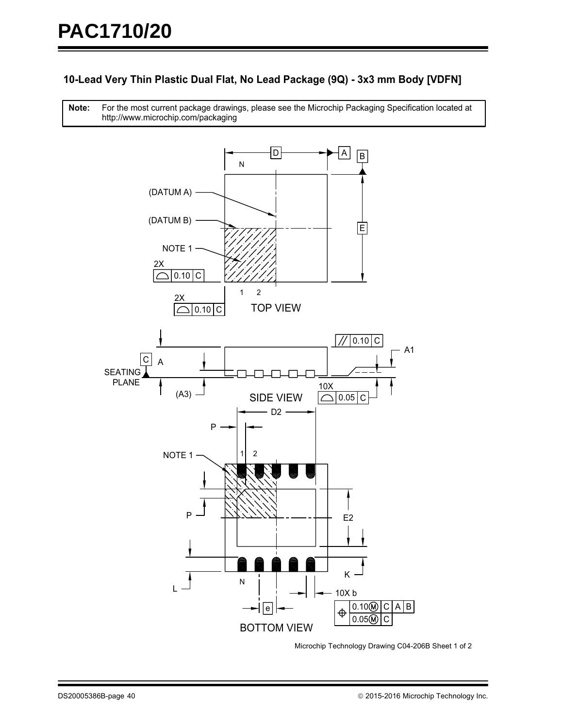## **10-Lead Very Thin Plastic Dual Flat, No Lead Package (9Q) - 3x3 mm Body [VDFN]**

For the most current package drawings, please see the Microchip Packaging Specification located at http://www.microchip.com/packaging **Note:**



Microchip Technology Drawing C04-206B Sheet 1 of 2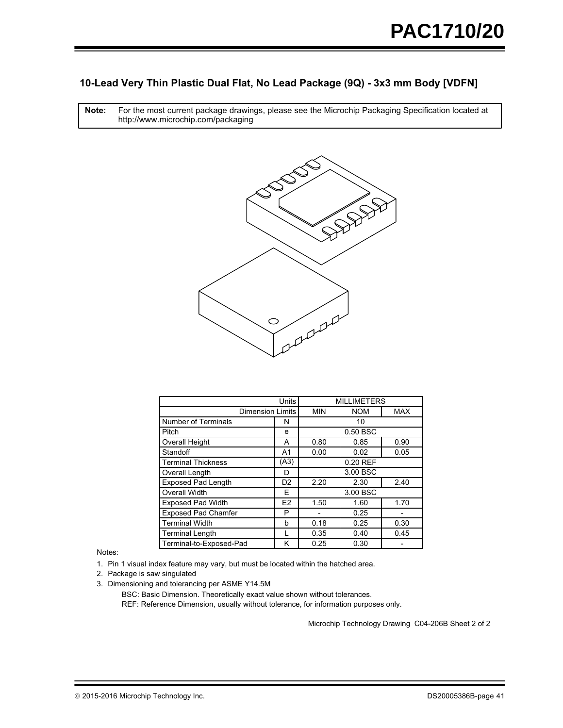## **10-Lead Very Thin Plastic Dual Flat, No Lead Package (9Q) - 3x3 mm Body [VDFN]**

For the most current package drawings, please see the Microchip Packaging Specification located at http://www.microchip.com/packaging **Note:**



|                            | <b>MILLIMETERS</b> |            |            |            |  |
|----------------------------|--------------------|------------|------------|------------|--|
| <b>Dimension Limits</b>    |                    | <b>MIN</b> | <b>NOM</b> | <b>MAX</b> |  |
| <b>Number of Terminals</b> | N                  |            | 10         |            |  |
| Pitch                      | e                  |            | 0.50 BSC   |            |  |
| Overall Height             | A                  | 0.80       | 0.85       | 0.90       |  |
| Standoff                   | A <sub>1</sub>     | 0.00       | 0.02       | 0.05       |  |
| <b>Terminal Thickness</b>  | (A3)               | 0.20 REF   |            |            |  |
| Overall Length             | D                  |            | 3.00 BSC   |            |  |
| <b>Exposed Pad Length</b>  | D <sub>2</sub>     | 2.20       | 2.30       | 2.40       |  |
| <b>Overall Width</b>       | F                  |            | 3.00 BSC   |            |  |
| <b>Exposed Pad Width</b>   | E <sub>2</sub>     | 1.50       | 1.60       | 1.70       |  |
| <b>Exposed Pad Chamfer</b> | P                  |            | 0.25       |            |  |
| <b>Terminal Width</b>      | b                  | 0.18       | 0.25       | 0.30       |  |
| <b>Terminal Length</b>     |                    | 0.35       | 0.40       | 0.45       |  |
| Terminal-to-Exposed-Pad    | κ                  | 0.25       | 0.30       |            |  |

Notes:

1. Pin 1 visual index feature may vary, but must be located within the hatched area.

2. Package is saw singulated

3. Dimensioning and tolerancing per ASME Y14.5M

REF: Reference Dimension, usually without tolerance, for information purposes only. BSC: Basic Dimension. Theoretically exact value shown without tolerances.

Microchip Technology Drawing C04-206B Sheet 2 of 2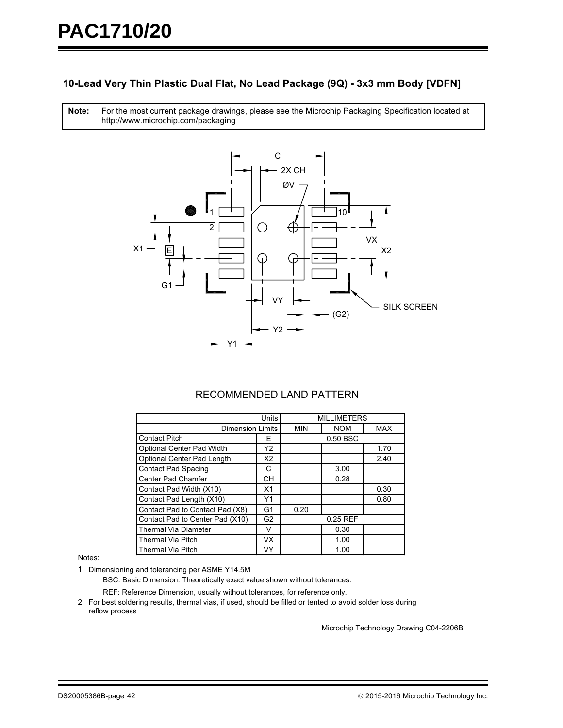## **10-Lead Very Thin Plastic Dual Flat, No Lead Package (9Q) - 3x3 mm Body [VDFN]**

For the most current package drawings, please see the Microchip Packaging Specification located at http://www.microchip.com/packaging **Note:**



## RECOMMENDED LAND PATTERN

|                                 | Units          |            |            | <b>MILLIMETERS</b> |  |  |
|---------------------------------|----------------|------------|------------|--------------------|--|--|
| <b>Dimension Limits</b>         |                | <b>MIN</b> | <b>NOM</b> | <b>MAX</b>         |  |  |
| <b>Contact Pitch</b>            | Е              |            | 0.50 BSC   |                    |  |  |
| Optional Center Pad Width       | Y2             |            |            | 1.70               |  |  |
| Optional Center Pad Length      | X2             |            |            | 2.40               |  |  |
| <b>Contact Pad Spacing</b>      | С              |            | 3.00       |                    |  |  |
| <b>Center Pad Chamfer</b>       | CН             |            | 0.28       |                    |  |  |
| Contact Pad Width (X10)         | X1             |            |            | 0.30               |  |  |
| Contact Pad Length (X10)        | Y1             |            |            | 0.80               |  |  |
| Contact Pad to Contact Pad (X8) | G1             | 0.20       |            |                    |  |  |
| Contact Pad to Center Pad (X10) | G <sub>2</sub> |            | 0.25 REF   |                    |  |  |
| <b>Thermal Via Diameter</b>     |                |            | 0.30       |                    |  |  |
| <b>Thermal Via Pitch</b>        | VX.            |            | 1.00       |                    |  |  |
| <b>Thermal Via Pitch</b>        | VY             |            | 1.00       |                    |  |  |

#### Notes:

1. Dimensioning and tolerancing per ASME Y14.5M

BSC: Basic Dimension. Theoretically exact value shown without tolerances.

REF: Reference Dimension, usually without tolerances, for reference only.

2. For best soldering results, thermal vias, if used, should be filled or tented to avoid solder loss during reflow process

Microchip Technology Drawing C04-2206B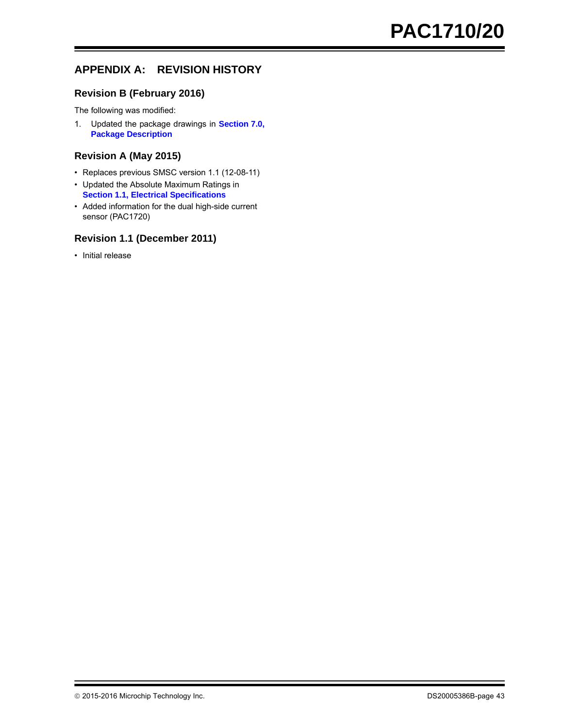## **APPENDIX A: REVISION HISTORY**

## **Revision B (February 2016)**

The following was modified:

1. Updated the package drawings in **[Section 7.0,](#page-38-0) [Package Description](#page-38-0)**

### **Revision A (May 2015)**

- Replaces previous SMSC version 1.1 (12-08-11)
- Updated the Absolute Maximum Ratings in **[Section 1.1, Electrical Specifications](#page-2-1)**
- Added information for the dual high-side current sensor (PAC1720)

## **Revision 1.1 (December 2011)**

• Initial release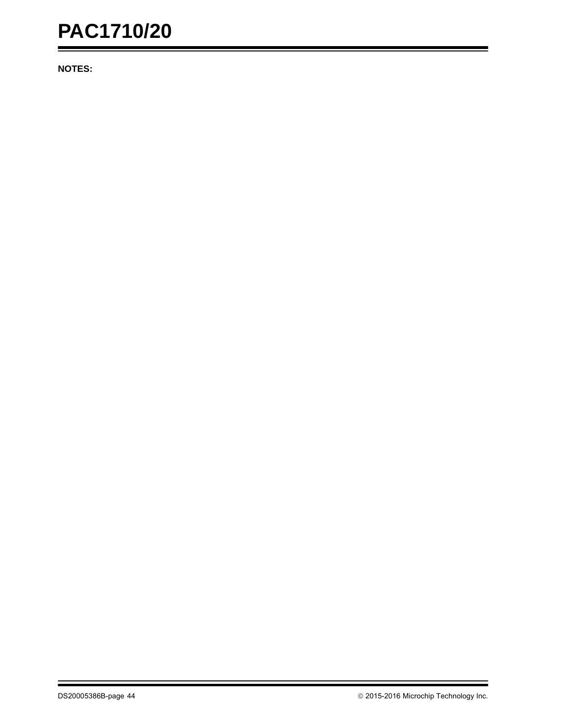**NOTES:**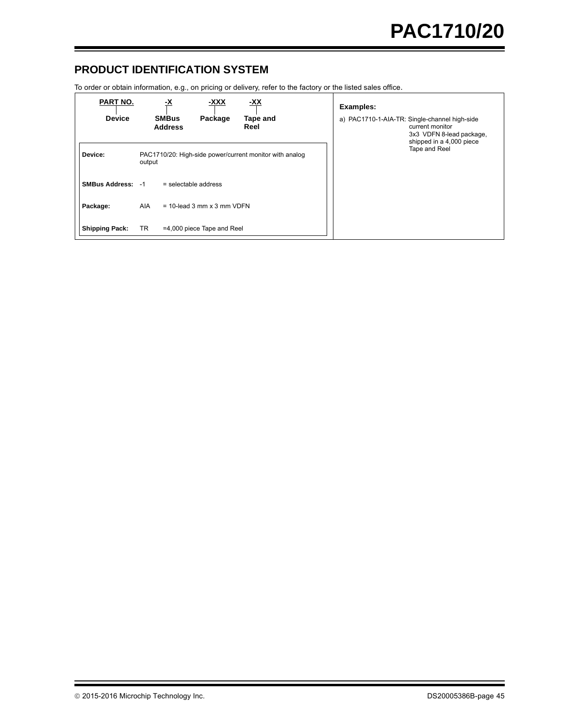## **PRODUCT IDENTIFICATION SYSTEM**

To order or obtain information, e.g., on pricing or delivery, refer to the factory or the listed sales office.

| <b>PART NO.</b><br><b>Device</b> |            | <u>-x</u><br><b>SMBus</b><br><b>Address</b>             | <u>-XXX</u><br>Package     | <u>-XX</u><br>Tape and<br>Reel |  | <b>Examples:</b> | a) PAC1710-1-AIA-TR: Single-channel high-side<br>current monitor<br>3x3 VDFN 8-lead package,<br>shipped in a 4,000 piece |
|----------------------------------|------------|---------------------------------------------------------|----------------------------|--------------------------------|--|------------------|--------------------------------------------------------------------------------------------------------------------------|
| Device:                          | output     | PAC1710/20: High-side power/current monitor with analog |                            |                                |  | Tape and Reel    |                                                                                                                          |
| <b>SMBus Address: -1</b>         |            | $=$ selectable address                                  |                            |                                |  |                  |                                                                                                                          |
| Package:                         | <b>AIA</b> | $= 10$ -lead 3 mm x 3 mm VDFN                           |                            |                                |  |                  |                                                                                                                          |
| <b>Shipping Pack:</b>            | TR.        |                                                         | =4,000 piece Tape and Reel |                                |  |                  |                                                                                                                          |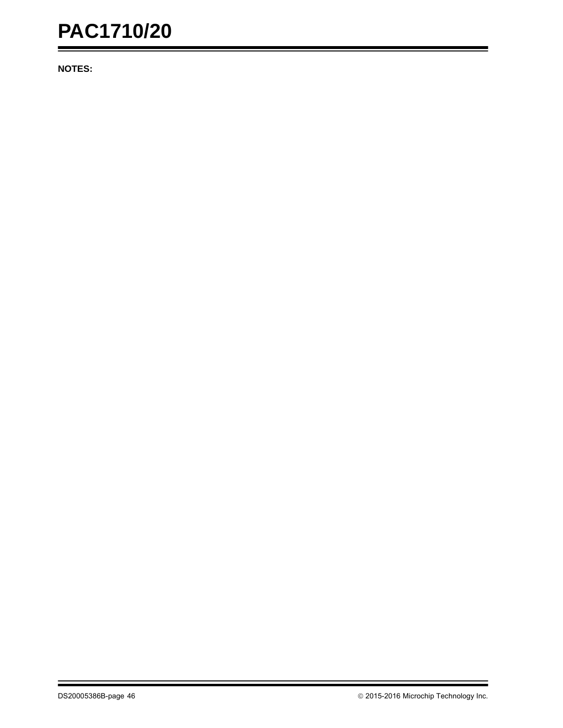**NOTES:**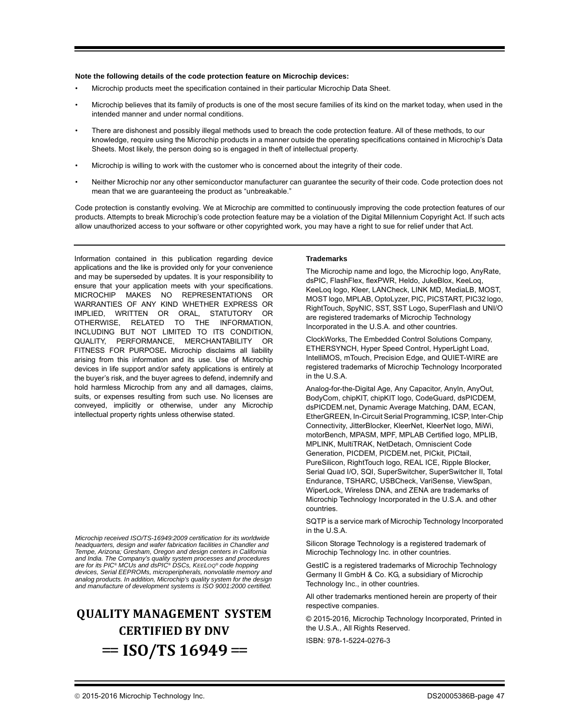#### **Note the following details of the code protection feature on Microchip devices:**

- Microchip products meet the specification contained in their particular Microchip Data Sheet.
- Microchip believes that its family of products is one of the most secure families of its kind on the market today, when used in the intended manner and under normal conditions.
- There are dishonest and possibly illegal methods used to breach the code protection feature. All of these methods, to our knowledge, require using the Microchip products in a manner outside the operating specifications contained in Microchip's Data Sheets. Most likely, the person doing so is engaged in theft of intellectual property.
- Microchip is willing to work with the customer who is concerned about the integrity of their code.
- Neither Microchip nor any other semiconductor manufacturer can guarantee the security of their code. Code protection does not mean that we are guaranteeing the product as "unbreakable."

Code protection is constantly evolving. We at Microchip are committed to continuously improving the code protection features of our products. Attempts to break Microchip's code protection feature may be a violation of the Digital Millennium Copyright Act. If such acts allow unauthorized access to your software or other copyrighted work, you may have a right to sue for relief under that Act.

Information contained in this publication regarding device applications and the like is provided only for your convenience and may be superseded by updates. It is your responsibility to ensure that your application meets with your specifications. MICROCHIP MAKES NO REPRESENTATIONS OR WARRANTIES OF ANY KIND WHETHER EXPRESS OR IMPLIED, WRITTEN OR ORAL, STATUTORY OR OTHERWISE, RELATED TO THE INFORMATION, INCLUDING BUT NOT LIMITED TO ITS CONDITION, QUALITY, PERFORMANCE, MERCHANTABILITY OR FITNESS FOR PURPOSE**.** Microchip disclaims all liability arising from this information and its use. Use of Microchip devices in life support and/or safety applications is entirely at the buyer's risk, and the buyer agrees to defend, indemnify and hold harmless Microchip from any and all damages, claims, suits, or expenses resulting from such use. No licenses are conveyed, implicitly or otherwise, under any Microchip intellectual property rights unless otherwise stated.

*Microchip received ISO/TS-16949:2009 certification for its worldwide headquarters, design and wafer fabrication facilities in Chandler and Tempe, Arizona; Gresham, Oregon and design centers in California and India. The Company's quality system processes and procedures are for its PIC® MCUs and dsPIC® DSCs, KEELOQ® code hopping devices, Serial EEPROMs, microperipherals, nonvolatile memory and analog products. In addition, Microchip's quality system for the design and manufacture of development systems is ISO 9001:2000 certified.*

## **QUALITY MANAGEMENT SYSTEM CERTIFIED BY DNV**   $=$  **ISO/TS 16949**  $=$

#### **Trademarks**

The Microchip name and logo, the Microchip logo, AnyRate, dsPIC, FlashFlex, flexPWR, Heldo, JukeBlox, KeeLoq, KeeLoq logo, Kleer, LANCheck, LINK MD, MediaLB, MOST, MOST logo, MPLAB, OptoLyzer, PIC, PICSTART, PIC32 logo, RightTouch, SpyNIC, SST, SST Logo, SuperFlash and UNI/O are registered trademarks of Microchip Technology Incorporated in the U.S.A. and other countries.

ClockWorks, The Embedded Control Solutions Company, ETHERSYNCH, Hyper Speed Control, HyperLight Load, IntelliMOS, mTouch, Precision Edge, and QUIET-WIRE are registered trademarks of Microchip Technology Incorporated in the U.S.A.

Analog-for-the-Digital Age, Any Capacitor, AnyIn, AnyOut, BodyCom, chipKIT, chipKIT logo, CodeGuard, dsPICDEM, dsPICDEM.net, Dynamic Average Matching, DAM, ECAN, EtherGREEN, In-Circuit Serial Programming, ICSP, Inter-Chip Connectivity, JitterBlocker, KleerNet, KleerNet logo, MiWi, motorBench, MPASM, MPF, MPLAB Certified logo, MPLIB, MPLINK, MultiTRAK, NetDetach, Omniscient Code Generation, PICDEM, PICDEM.net, PICkit, PICtail, PureSilicon, RightTouch logo, REAL ICE, Ripple Blocker, Serial Quad I/O, SQI, SuperSwitcher, SuperSwitcher II, Total Endurance, TSHARC, USBCheck, VariSense, ViewSpan, WiperLock, Wireless DNA, and ZENA are trademarks of Microchip Technology Incorporated in the U.S.A. and other countries.

SQTP is a service mark of Microchip Technology Incorporated in the U.S.A.

Silicon Storage Technology is a registered trademark of Microchip Technology Inc. in other countries.

GestIC is a registered trademarks of Microchip Technology Germany II GmbH & Co. KG, a subsidiary of Microchip Technology Inc., in other countries.

All other trademarks mentioned herein are property of their respective companies.

© 2015-2016, Microchip Technology Incorporated, Printed in the U.S.A., All Rights Reserved.

ISBN: 978-1-5224-0276-3